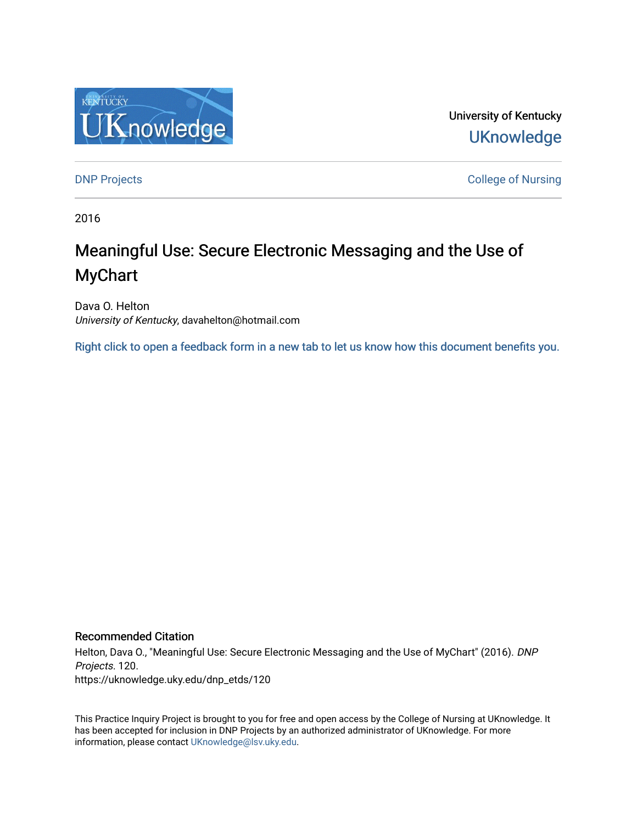

University of Kentucky **UKnowledge** 

[DNP Projects](https://uknowledge.uky.edu/dnp_etds) **College of Nursing** 

2016

# Meaningful Use: Secure Electronic Messaging and the Use of MyChart

Dava O. Helton University of Kentucky, davahelton@hotmail.com

[Right click to open a feedback form in a new tab to let us know how this document benefits you.](https://uky.az1.qualtrics.com/jfe/form/SV_9mq8fx2GnONRfz7)

#### Recommended Citation

Helton, Dava O., "Meaningful Use: Secure Electronic Messaging and the Use of MyChart" (2016). DNP Projects. 120. https://uknowledge.uky.edu/dnp\_etds/120

This Practice Inquiry Project is brought to you for free and open access by the College of Nursing at UKnowledge. It has been accepted for inclusion in DNP Projects by an authorized administrator of UKnowledge. For more information, please contact [UKnowledge@lsv.uky.edu](mailto:UKnowledge@lsv.uky.edu).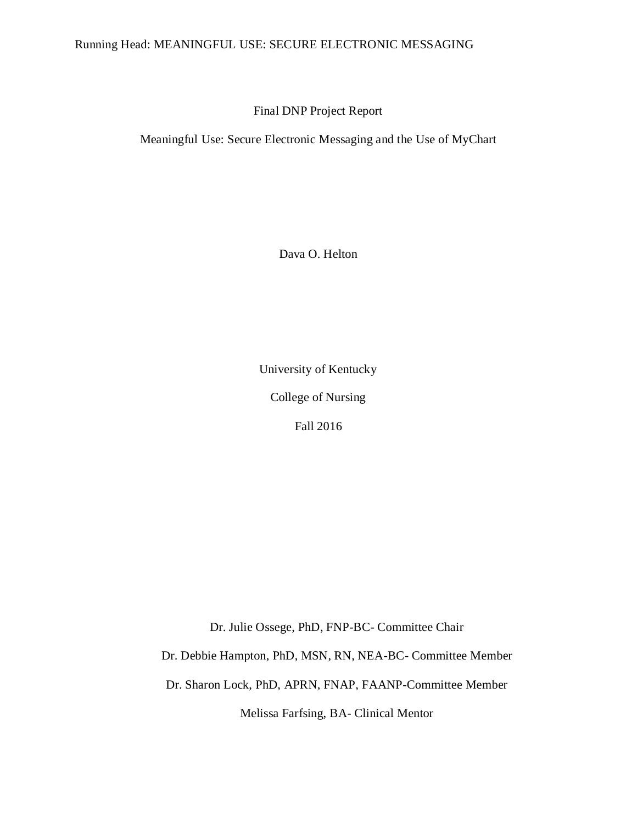### Running Head: MEANINGFUL USE: SECURE ELECTRONIC MESSAGING

Final DNP Project Report

Meaningful Use: Secure Electronic Messaging and the Use of MyChart

Dava O. Helton

University of Kentucky

College of Nursing

Fall 2016

Dr. Julie Ossege, PhD, FNP-BC- Committee Chair

Dr. Debbie Hampton, PhD, MSN, RN, NEA-BC- Committee Member

Dr. Sharon Lock, PhD, APRN, FNAP, FAANP-Committee Member

Melissa Farfsing, BA- Clinical Mentor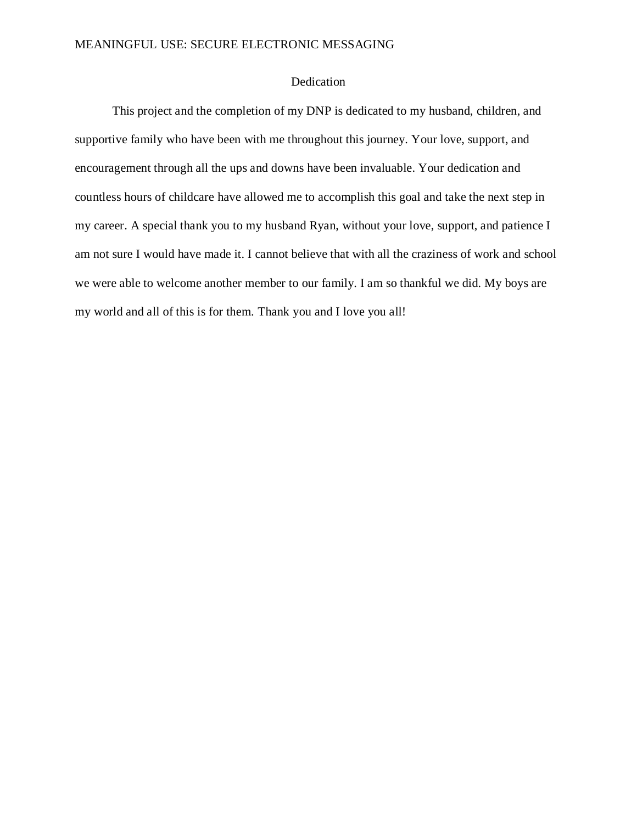#### Dedication

This project and the completion of my DNP is dedicated to my husband, children, and supportive family who have been with me throughout this journey. Your love, support, and encouragement through all the ups and downs have been invaluable. Your dedication and countless hours of childcare have allowed me to accomplish this goal and take the next step in my career. A special thank you to my husband Ryan, without your love, support, and patience I am not sure I would have made it. I cannot believe that with all the craziness of work and school we were able to welcome another member to our family. I am so thankful we did. My boys are my world and all of this is for them. Thank you and I love you all!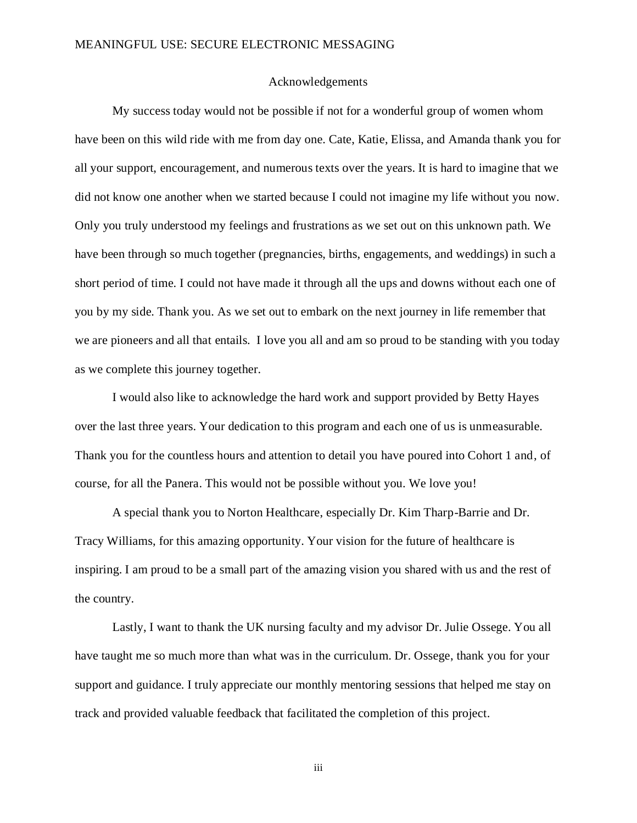#### Acknowledgements

<span id="page-3-0"></span>My success today would not be possible if not for a wonderful group of women whom have been on this wild ride with me from day one. Cate, Katie, Elissa, and Amanda thank you for all your support, encouragement, and numerous texts over the years. It is hard to imagine that we did not know one another when we started because I could not imagine my life without you now. Only you truly understood my feelings and frustrations as we set out on this unknown path. We have been through so much together (pregnancies, births, engagements, and weddings) in such a short period of time. I could not have made it through all the ups and downs without each one of you by my side. Thank you. As we set out to embark on the next journey in life remember that we are pioneers and all that entails. I love you all and am so proud to be standing with you today as we complete this journey together.

I would also like to acknowledge the hard work and support provided by Betty Hayes over the last three years. Your dedication to this program and each one of us is unmeasurable. Thank you for the countless hours and attention to detail you have poured into Cohort 1 and, of course, for all the Panera. This would not be possible without you. We love you!

A special thank you to Norton Healthcare, especially Dr. Kim Tharp-Barrie and Dr. Tracy Williams, for this amazing opportunity. Your vision for the future of healthcare is inspiring. I am proud to be a small part of the amazing vision you shared with us and the rest of the country.

Lastly, I want to thank the UK nursing faculty and my advisor Dr. Julie Ossege. You all have taught me so much more than what was in the curriculum. Dr. Ossege, thank you for your support and guidance. I truly appreciate our monthly mentoring sessions that helped me stay on track and provided valuable feedback that facilitated the completion of this project.

iii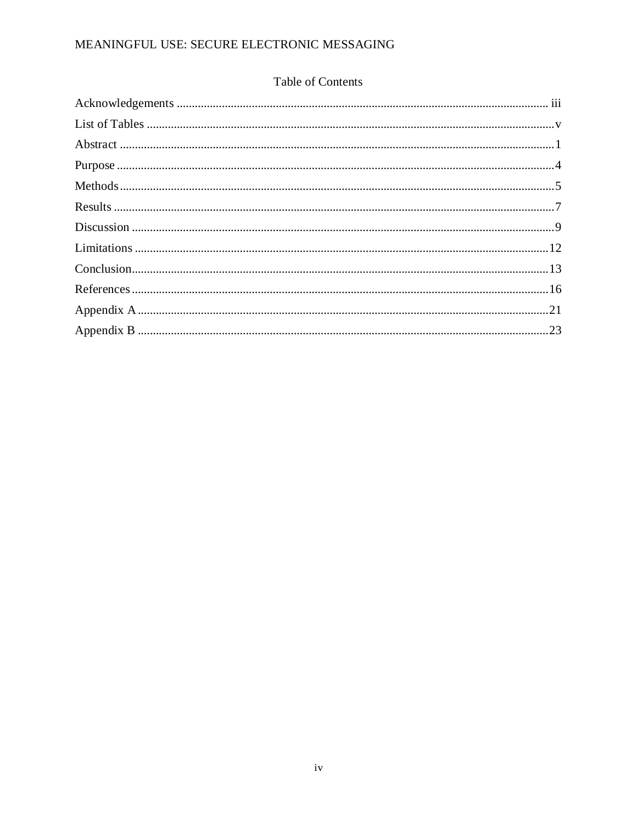### Table of Contents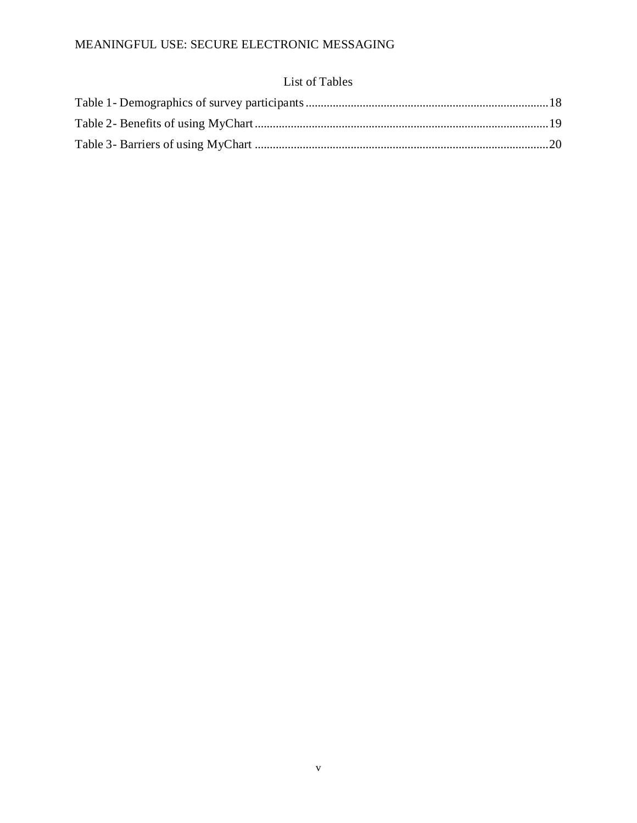### List of Tables

<span id="page-5-0"></span>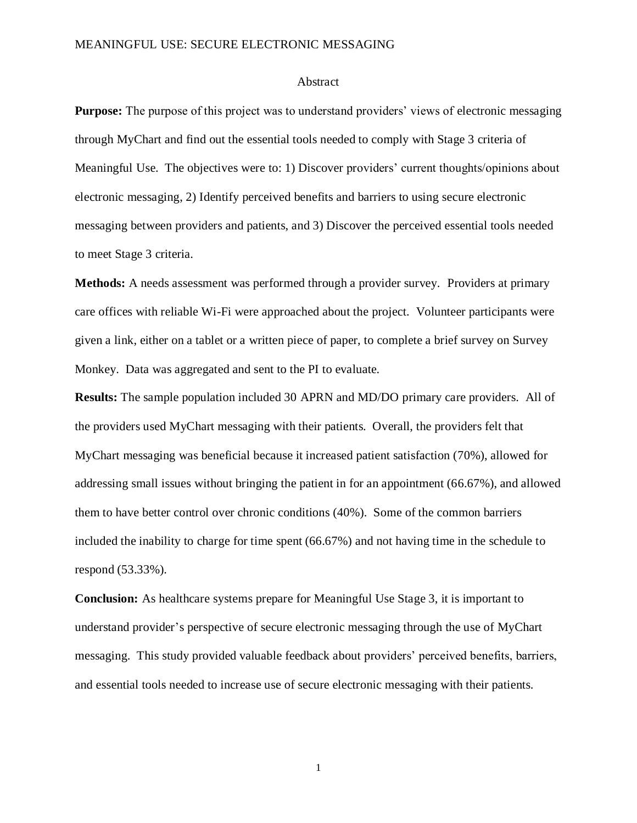#### Abstract

<span id="page-6-0"></span>**Purpose:** The purpose of this project was to understand providers' views of electronic messaging through MyChart and find out the essential tools needed to comply with Stage 3 criteria of Meaningful Use. The objectives were to: 1) Discover providers' current thoughts/opinions about electronic messaging, 2) Identify perceived benefits and barriers to using secure electronic messaging between providers and patients, and 3) Discover the perceived essential tools needed to meet Stage 3 criteria.

**Methods:** A needs assessment was performed through a provider survey. Providers at primary care offices with reliable Wi-Fi were approached about the project. Volunteer participants were given a link, either on a tablet or a written piece of paper, to complete a brief survey on Survey Monkey. Data was aggregated and sent to the PI to evaluate.

**Results:** The sample population included 30 APRN and MD/DO primary care providers. All of the providers used MyChart messaging with their patients. Overall, the providers felt that MyChart messaging was beneficial because it increased patient satisfaction (70%), allowed for addressing small issues without bringing the patient in for an appointment (66.67%), and allowed them to have better control over chronic conditions (40%). Some of the common barriers included the inability to charge for time spent (66.67%) and not having time in the schedule to respond (53.33%).

**Conclusion:** As healthcare systems prepare for Meaningful Use Stage 3, it is important to understand provider's perspective of secure electronic messaging through the use of MyChart messaging. This study provided valuable feedback about providers' perceived benefits, barriers, and essential tools needed to increase use of secure electronic messaging with their patients.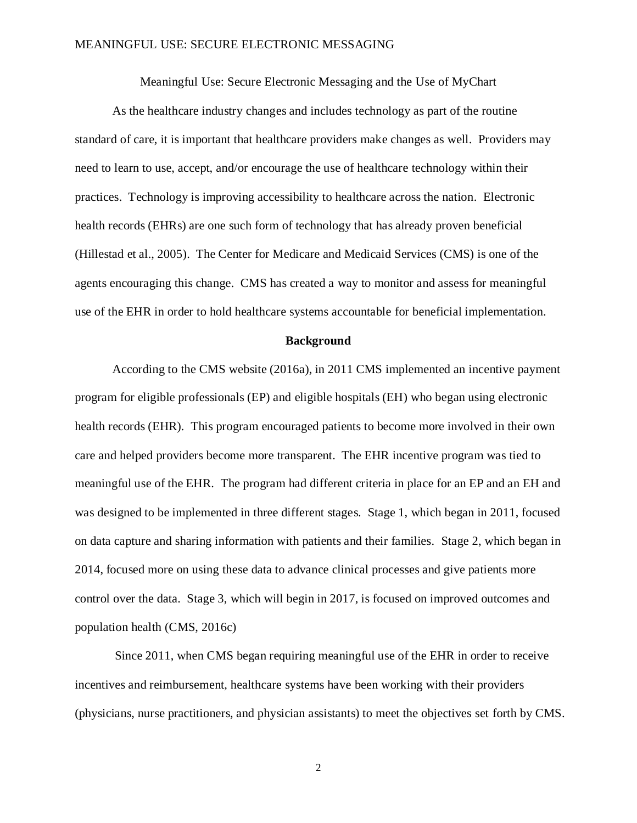Meaningful Use: Secure Electronic Messaging and the Use of MyChart

As the healthcare industry changes and includes technology as part of the routine standard of care, it is important that healthcare providers make changes as well. Providers may need to learn to use, accept, and/or encourage the use of healthcare technology within their practices. Technology is improving accessibility to healthcare across the nation. Electronic health records (EHRs) are one such form of technology that has already proven beneficial (Hillestad et al., 2005). The Center for Medicare and Medicaid Services (CMS) is one of the agents encouraging this change. CMS has created a way to monitor and assess for meaningful use of the EHR in order to hold healthcare systems accountable for beneficial implementation.

#### **Background**

According to the CMS website (2016a), in 2011 CMS implemented an incentive payment program for eligible professionals (EP) and eligible hospitals (EH) who began using electronic health records (EHR). This program encouraged patients to become more involved in their own care and helped providers become more transparent. The EHR incentive program was tied to meaningful use of the EHR. The program had different criteria in place for an EP and an EH and was designed to be implemented in three different stages. Stage 1, which began in 2011, focused on data capture and sharing information with patients and their families. Stage 2, which began in 2014, focused more on using these data to advance clinical processes and give patients more control over the data. Stage 3, which will begin in 2017, is focused on improved outcomes and population health (CMS, 2016c)

Since 2011, when CMS began requiring meaningful use of the EHR in order to receive incentives and reimbursement, healthcare systems have been working with their providers (physicians, nurse practitioners, and physician assistants) to meet the objectives set forth by CMS.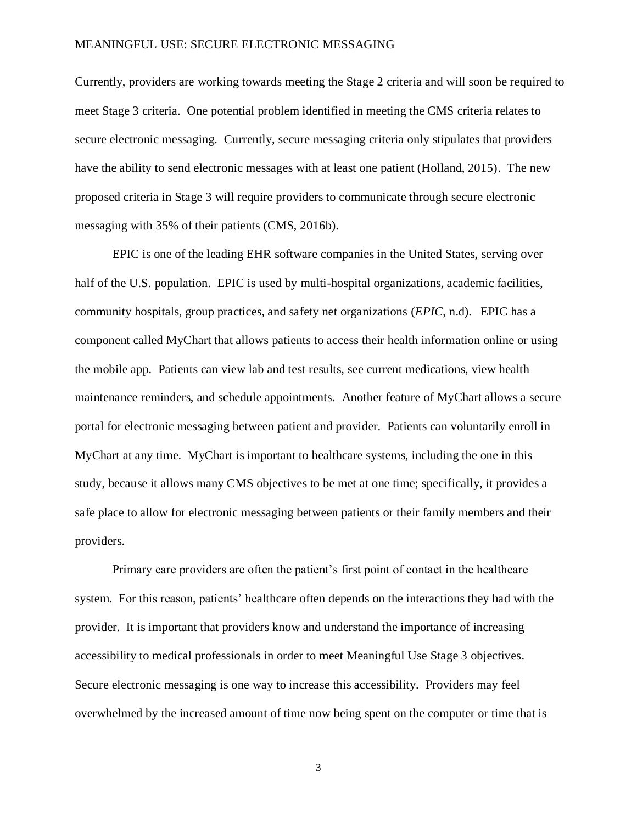Currently, providers are working towards meeting the Stage 2 criteria and will soon be required to meet Stage 3 criteria. One potential problem identified in meeting the CMS criteria relates to secure electronic messaging. Currently, secure messaging criteria only stipulates that providers have the ability to send electronic messages with at least one patient (Holland, 2015). The new proposed criteria in Stage 3 will require providers to communicate through secure electronic messaging with 35% of their patients (CMS, 2016b).

EPIC is one of the leading EHR software companies in the United States, serving over half of the U.S. population. EPIC is used by multi-hospital organizations, academic facilities, community hospitals, group practices, and safety net organizations (*EPIC*, n.d). EPIC has a component called MyChart that allows patients to access their health information online or using the mobile app. Patients can view lab and test results, see current medications, view health maintenance reminders, and schedule appointments. Another feature of MyChart allows a secure portal for electronic messaging between patient and provider. Patients can voluntarily enroll in MyChart at any time. MyChart is important to healthcare systems, including the one in this study, because it allows many CMS objectives to be met at one time; specifically, it provides a safe place to allow for electronic messaging between patients or their family members and their providers.

Primary care providers are often the patient's first point of contact in the healthcare system. For this reason, patients' healthcare often depends on the interactions they had with the provider. It is important that providers know and understand the importance of increasing accessibility to medical professionals in order to meet Meaningful Use Stage 3 objectives. Secure electronic messaging is one way to increase this accessibility. Providers may feel overwhelmed by the increased amount of time now being spent on the computer or time that is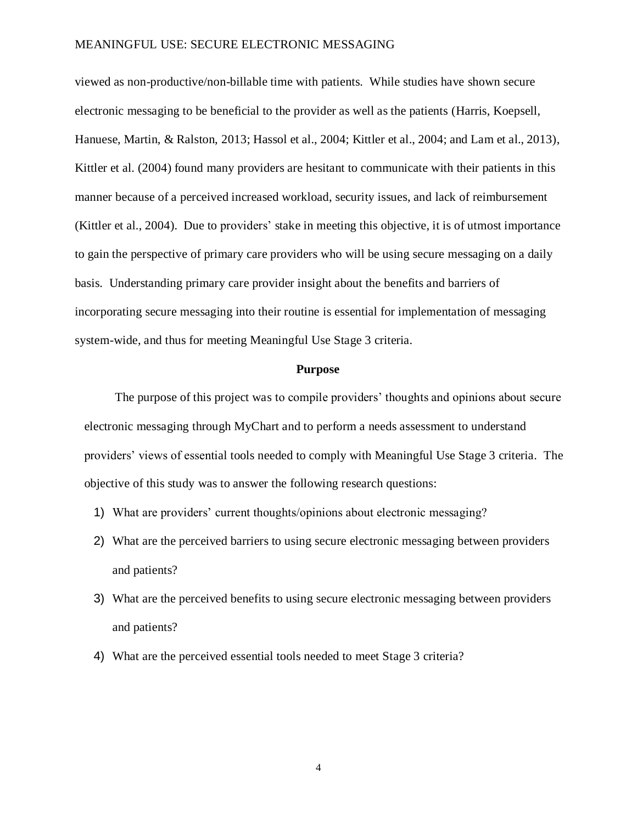viewed as non-productive/non-billable time with patients. While studies have shown secure electronic messaging to be beneficial to the provider as well as the patients (Harris, Koepsell, Hanuese, Martin, & Ralston, 2013; Hassol et al., 2004; Kittler et al., 2004; and Lam et al., 2013), Kittler et al. (2004) found many providers are hesitant to communicate with their patients in this manner because of a perceived increased workload, security issues, and lack of reimbursement (Kittler et al., 2004). Due to providers' stake in meeting this objective, it is of utmost importance to gain the perspective of primary care providers who will be using secure messaging on a daily basis. Understanding primary care provider insight about the benefits and barriers of incorporating secure messaging into their routine is essential for implementation of messaging system-wide, and thus for meeting Meaningful Use Stage 3 criteria.

#### **Purpose**

<span id="page-9-0"></span>The purpose of this project was to compile providers' thoughts and opinions about secure electronic messaging through MyChart and to perform a needs assessment to understand providers' views of essential tools needed to comply with Meaningful Use Stage 3 criteria. The objective of this study was to answer the following research questions:

- 1) What are providers' current thoughts/opinions about electronic messaging?
- 2) What are the perceived barriers to using secure electronic messaging between providers and patients?
- 3) What are the perceived benefits to using secure electronic messaging between providers and patients?
- 4) What are the perceived essential tools needed to meet Stage 3 criteria?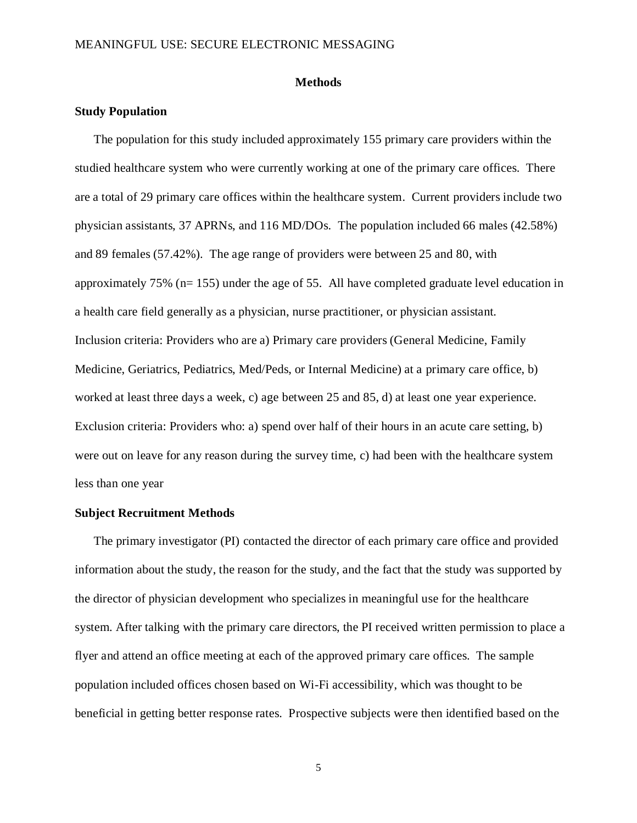#### **Methods**

#### <span id="page-10-0"></span>**Study Population**

The population for this study included approximately 155 primary care providers within the studied healthcare system who were currently working at one of the primary care offices. There are a total of 29 primary care offices within the healthcare system. Current providers include two physician assistants, 37 APRNs, and 116 MD/DOs. The population included 66 males (42.58%) and 89 females (57.42%). The age range of providers were between 25 and 80, with approximately 75% (n= 155) under the age of 55. All have completed graduate level education in a health care field generally as a physician, nurse practitioner, or physician assistant. Inclusion criteria: Providers who are a) Primary care providers (General Medicine, Family Medicine, Geriatrics, Pediatrics, Med/Peds, or Internal Medicine) at a primary care office, b) worked at least three days a week, c) age between 25 and 85, d) at least one year experience. Exclusion criteria: Providers who: a) spend over half of their hours in an acute care setting, b) were out on leave for any reason during the survey time, c) had been with the healthcare system less than one year

#### **Subject Recruitment Methods**

The primary investigator (PI) contacted the director of each primary care office and provided information about the study, the reason for the study, and the fact that the study was supported by the director of physician development who specializes in meaningful use for the healthcare system. After talking with the primary care directors, the PI received written permission to place a flyer and attend an office meeting at each of the approved primary care offices. The sample population included offices chosen based on Wi-Fi accessibility, which was thought to be beneficial in getting better response rates. Prospective subjects were then identified based on the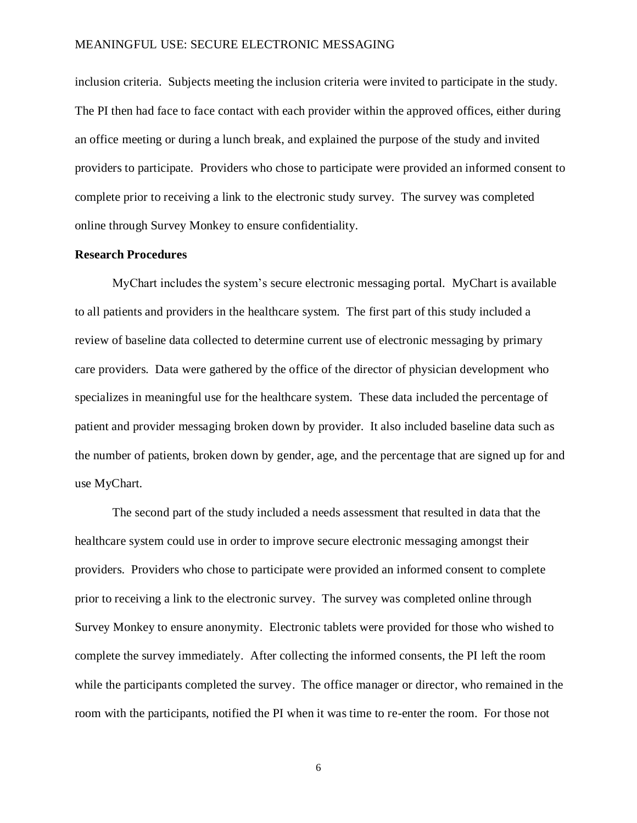inclusion criteria. Subjects meeting the inclusion criteria were invited to participate in the study. The PI then had face to face contact with each provider within the approved offices, either during an office meeting or during a lunch break, and explained the purpose of the study and invited providers to participate. Providers who chose to participate were provided an informed consent to complete prior to receiving a link to the electronic study survey. The survey was completed online through Survey Monkey to ensure confidentiality.

#### **Research Procedures**

MyChart includes the system's secure electronic messaging portal. MyChart is available to all patients and providers in the healthcare system. The first part of this study included a review of baseline data collected to determine current use of electronic messaging by primary care providers. Data were gathered by the office of the director of physician development who specializes in meaningful use for the healthcare system. These data included the percentage of patient and provider messaging broken down by provider. It also included baseline data such as the number of patients, broken down by gender, age, and the percentage that are signed up for and use MyChart.

The second part of the study included a needs assessment that resulted in data that the healthcare system could use in order to improve secure electronic messaging amongst their providers. Providers who chose to participate were provided an informed consent to complete prior to receiving a link to the electronic survey. The survey was completed online through Survey Monkey to ensure anonymity. Electronic tablets were provided for those who wished to complete the survey immediately. After collecting the informed consents, the PI left the room while the participants completed the survey. The office manager or director, who remained in the room with the participants, notified the PI when it was time to re-enter the room. For those not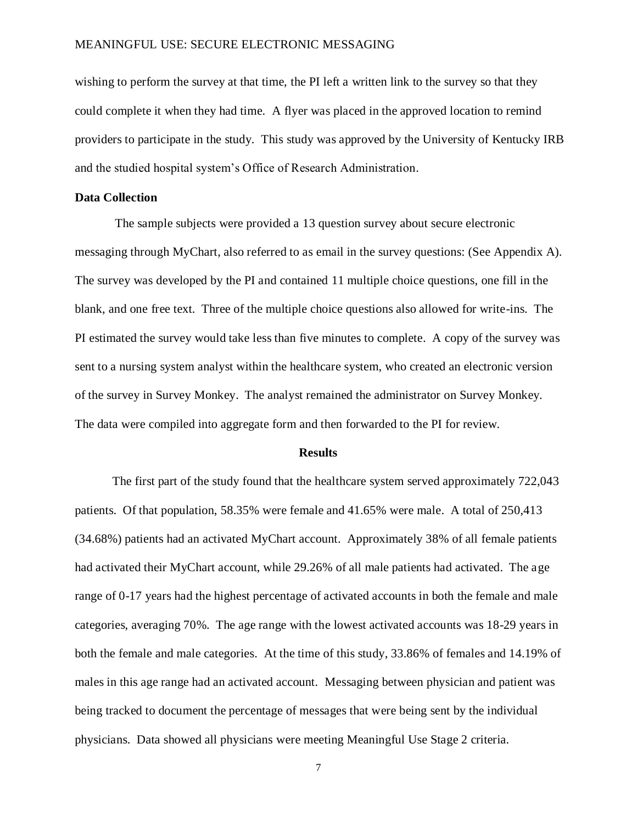wishing to perform the survey at that time, the PI left a written link to the survey so that they could complete it when they had time. A flyer was placed in the approved location to remind providers to participate in the study. This study was approved by the University of Kentucky IRB and the studied hospital system's Office of Research Administration.

#### **Data Collection**

The sample subjects were provided a 13 question survey about secure electronic messaging through MyChart, also referred to as email in the survey questions: (See Appendix A). The survey was developed by the PI and contained 11 multiple choice questions, one fill in the blank, and one free text. Three of the multiple choice questions also allowed for write-ins. The PI estimated the survey would take less than five minutes to complete. A copy of the survey was sent to a nursing system analyst within the healthcare system, who created an electronic version of the survey in Survey Monkey. The analyst remained the administrator on Survey Monkey. The data were compiled into aggregate form and then forwarded to the PI for review.

#### **Results**

<span id="page-12-0"></span>The first part of the study found that the healthcare system served approximately 722,043 patients. Of that population, 58.35% were female and 41.65% were male. A total of 250,413 (34.68%) patients had an activated MyChart account. Approximately 38% of all female patients had activated their MyChart account, while 29.26% of all male patients had activated. The age range of 0-17 years had the highest percentage of activated accounts in both the female and male categories, averaging 70%. The age range with the lowest activated accounts was 18-29 years in both the female and male categories. At the time of this study, 33.86% of females and 14.19% of males in this age range had an activated account. Messaging between physician and patient was being tracked to document the percentage of messages that were being sent by the individual physicians. Data showed all physicians were meeting Meaningful Use Stage 2 criteria.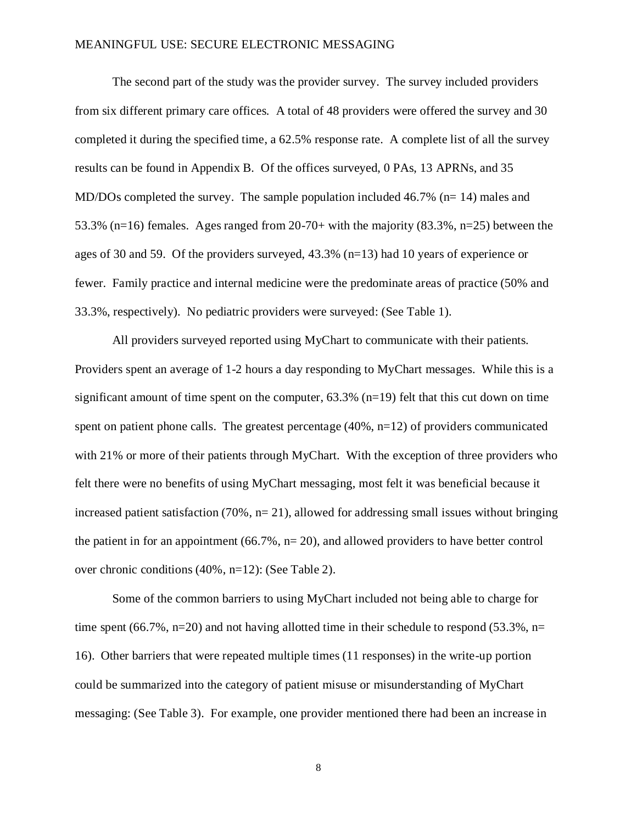The second part of the study was the provider survey. The survey included providers from six different primary care offices. A total of 48 providers were offered the survey and 30 completed it during the specified time, a 62.5% response rate. A complete list of all the survey results can be found in Appendix B. Of the offices surveyed, 0 PAs, 13 APRNs, and 35 MD/DOs completed the survey. The sample population included 46.7% (n= 14) males and 53.3% (n=16) females. Ages ranged from 20-70+ with the majority (83.3%, n=25) between the ages of 30 and 59. Of the providers surveyed, 43.3% (n=13) had 10 years of experience or fewer. Family practice and internal medicine were the predominate areas of practice (50% and 33.3%, respectively). No pediatric providers were surveyed: (See Table 1).

All providers surveyed reported using MyChart to communicate with their patients. Providers spent an average of 1-2 hours a day responding to MyChart messages. While this is a significant amount of time spent on the computer,  $63.3\%$  (n=19) felt that this cut down on time spent on patient phone calls. The greatest percentage (40%, n=12) of providers communicated with 21% or more of their patients through MyChart. With the exception of three providers who felt there were no benefits of using MyChart messaging, most felt it was beneficial because it increased patient satisfaction  $(70\% , n=21)$ , allowed for addressing small issues without bringing the patient in for an appointment  $(66.7\%, n=20)$ , and allowed providers to have better control over chronic conditions (40%, n=12): (See Table 2).

Some of the common barriers to using MyChart included not being able to charge for time spent (66.7%, n=20) and not having allotted time in their schedule to respond (53.3%, n= 16). Other barriers that were repeated multiple times (11 responses) in the write-up portion could be summarized into the category of patient misuse or misunderstanding of MyChart messaging: (See Table 3). For example, one provider mentioned there had been an increase in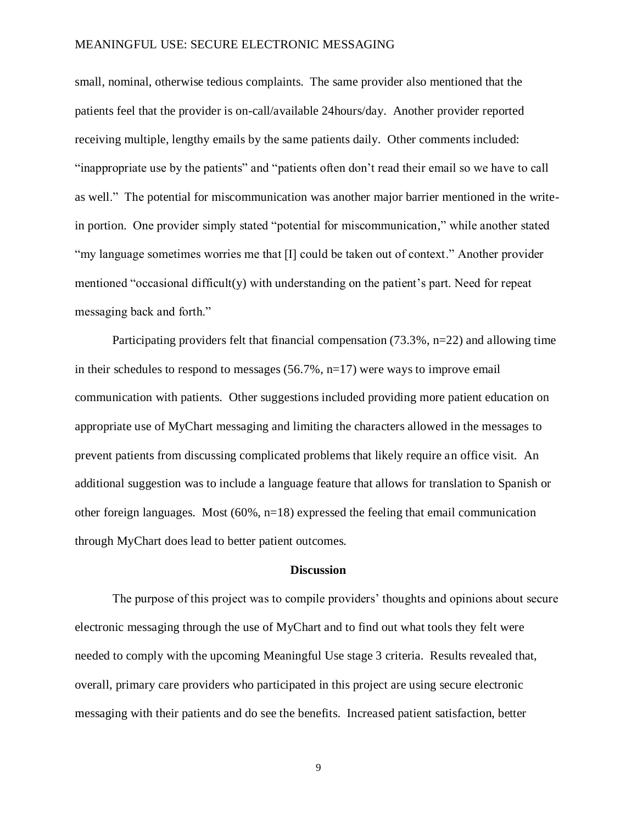small, nominal, otherwise tedious complaints. The same provider also mentioned that the patients feel that the provider is on-call/available 24hours/day. Another provider reported receiving multiple, lengthy emails by the same patients daily. Other comments included: "inappropriate use by the patients" and "patients often don't read their email so we have to call as well." The potential for miscommunication was another major barrier mentioned in the writein portion. One provider simply stated "potential for miscommunication," while another stated "my language sometimes worries me that [I] could be taken out of context." Another provider mentioned "occasional difficult(y) with understanding on the patient's part. Need for repeat messaging back and forth."

Participating providers felt that financial compensation (73.3%, n=22) and allowing time in their schedules to respond to messages (56.7%, n=17) were ways to improve email communication with patients. Other suggestions included providing more patient education on appropriate use of MyChart messaging and limiting the characters allowed in the messages to prevent patients from discussing complicated problems that likely require an office visit. An additional suggestion was to include a language feature that allows for translation to Spanish or other foreign languages. Most (60%, n=18) expressed the feeling that email communication through MyChart does lead to better patient outcomes.

#### **Discussion**

<span id="page-14-0"></span>The purpose of this project was to compile providers' thoughts and opinions about secure electronic messaging through the use of MyChart and to find out what tools they felt were needed to comply with the upcoming Meaningful Use stage 3 criteria. Results revealed that, overall, primary care providers who participated in this project are using secure electronic messaging with their patients and do see the benefits. Increased patient satisfaction, better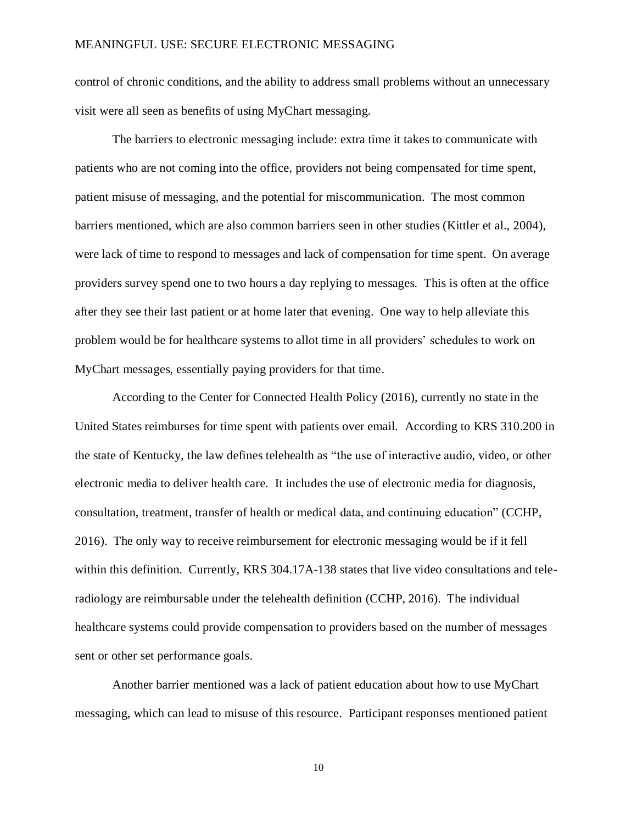control of chronic conditions, and the ability to address small problems without an unnecessary visit were all seen as benefits of using MyChart messaging.

The barriers to electronic messaging include: extra time it takes to communicate with patients who are not coming into the office, providers not being compensated for time spent, patient misuse of messaging, and the potential for miscommunication. The most common barriers mentioned, which are also common barriers seen in other studies (Kittler et al., 2004), were lack of time to respond to messages and lack of compensation for time spent. On average providers survey spend one to two hours a day replying to messages. This is often at the office after they see their last patient or at home later that evening. One way to help alleviate this problem would be for healthcare systems to allot time in all providers' schedules to work on MyChart messages, essentially paying providers for that time.

According to the Center for Connected Health Policy (2016), currently no state in the United States reimburses for time spent with patients over email. According to KRS 310.200 in the state of Kentucky, the law defines telehealth as "the use of interactive audio, video, or other electronic media to deliver health care. It includes the use of electronic media for diagnosis, consultation, treatment, transfer of health or medical data, and continuing education" (CCHP, 2016). The only way to receive reimbursement for electronic messaging would be if it fell within this definition. Currently, KRS 304.17A-138 states that live video consultations and teleradiology are reimbursable under the telehealth definition (CCHP, 2016). The individual healthcare systems could provide compensation to providers based on the number of messages sent or other set performance goals.

Another barrier mentioned was a lack of patient education about how to use MyChart messaging, which can lead to misuse of this resource. Participant responses mentioned patient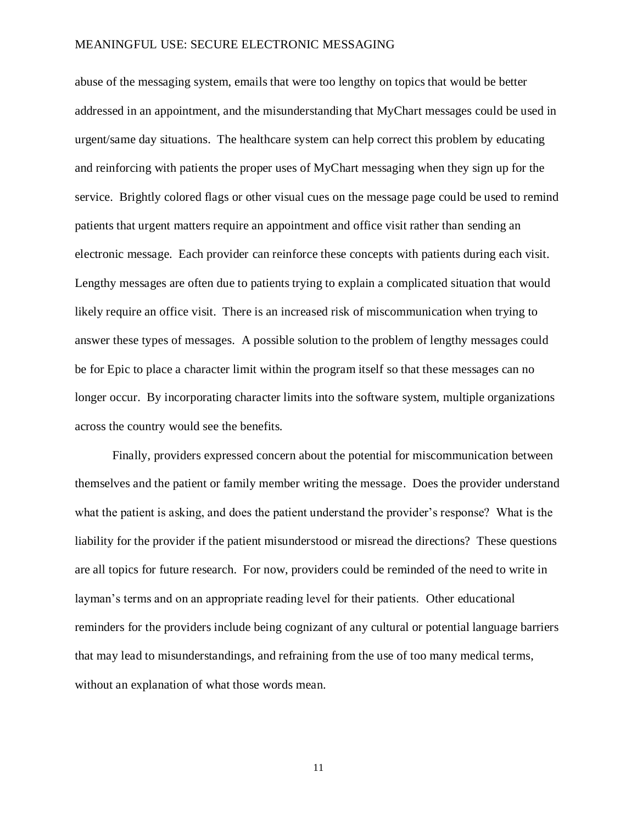abuse of the messaging system, emails that were too lengthy on topics that would be better addressed in an appointment, and the misunderstanding that MyChart messages could be used in urgent/same day situations. The healthcare system can help correct this problem by educating and reinforcing with patients the proper uses of MyChart messaging when they sign up for the service. Brightly colored flags or other visual cues on the message page could be used to remind patients that urgent matters require an appointment and office visit rather than sending an electronic message. Each provider can reinforce these concepts with patients during each visit. Lengthy messages are often due to patients trying to explain a complicated situation that would likely require an office visit. There is an increased risk of miscommunication when trying to answer these types of messages. A possible solution to the problem of lengthy messages could be for Epic to place a character limit within the program itself so that these messages can no longer occur. By incorporating character limits into the software system, multiple organizations across the country would see the benefits.

Finally, providers expressed concern about the potential for miscommunication between themselves and the patient or family member writing the message. Does the provider understand what the patient is asking, and does the patient understand the provider's response? What is the liability for the provider if the patient misunderstood or misread the directions? These questions are all topics for future research. For now, providers could be reminded of the need to write in layman's terms and on an appropriate reading level for their patients. Other educational reminders for the providers include being cognizant of any cultural or potential language barriers that may lead to misunderstandings, and refraining from the use of too many medical terms, without an explanation of what those words mean.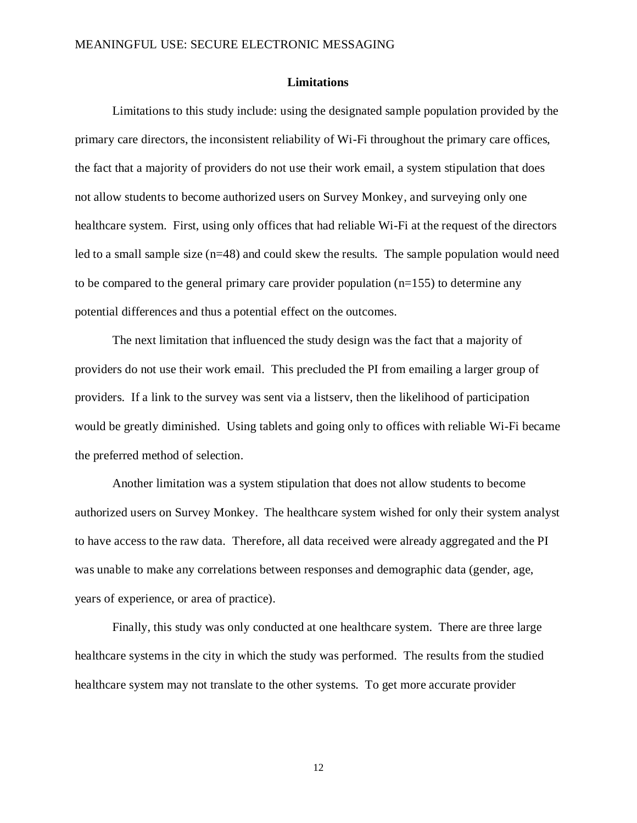#### **Limitations**

<span id="page-17-0"></span>Limitations to this study include: using the designated sample population provided by the primary care directors, the inconsistent reliability of Wi-Fi throughout the primary care offices, the fact that a majority of providers do not use their work email, a system stipulation that does not allow students to become authorized users on Survey Monkey, and surveying only one healthcare system. First, using only offices that had reliable Wi-Fi at the request of the directors led to a small sample size (n=48) and could skew the results. The sample population would need to be compared to the general primary care provider population  $(n=155)$  to determine any potential differences and thus a potential effect on the outcomes.

The next limitation that influenced the study design was the fact that a majority of providers do not use their work email. This precluded the PI from emailing a larger group of providers. If a link to the survey was sent via a listserv, then the likelihood of participation would be greatly diminished. Using tablets and going only to offices with reliable Wi-Fi became the preferred method of selection.

Another limitation was a system stipulation that does not allow students to become authorized users on Survey Monkey. The healthcare system wished for only their system analyst to have access to the raw data. Therefore, all data received were already aggregated and the PI was unable to make any correlations between responses and demographic data (gender, age, years of experience, or area of practice).

Finally, this study was only conducted at one healthcare system. There are three large healthcare systems in the city in which the study was performed. The results from the studied healthcare system may not translate to the other systems. To get more accurate provider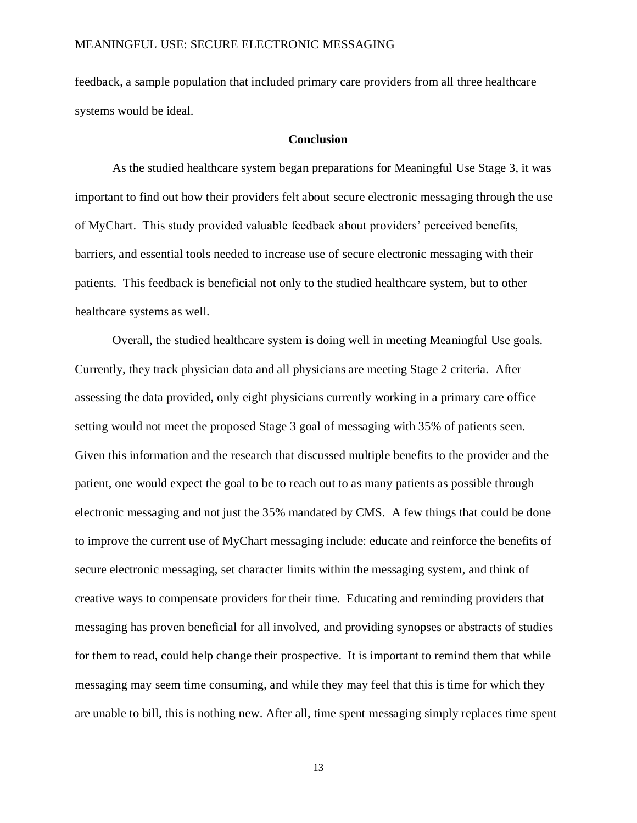feedback, a sample population that included primary care providers from all three healthcare systems would be ideal.

#### **Conclusion**

<span id="page-18-0"></span>As the studied healthcare system began preparations for Meaningful Use Stage 3, it was important to find out how their providers felt about secure electronic messaging through the use of MyChart. This study provided valuable feedback about providers' perceived benefits, barriers, and essential tools needed to increase use of secure electronic messaging with their patients. This feedback is beneficial not only to the studied healthcare system, but to other healthcare systems as well.

Overall, the studied healthcare system is doing well in meeting Meaningful Use goals. Currently, they track physician data and all physicians are meeting Stage 2 criteria. After assessing the data provided, only eight physicians currently working in a primary care office setting would not meet the proposed Stage 3 goal of messaging with 35% of patients seen. Given this information and the research that discussed multiple benefits to the provider and the patient, one would expect the goal to be to reach out to as many patients as possible through electronic messaging and not just the 35% mandated by CMS. A few things that could be done to improve the current use of MyChart messaging include: educate and reinforce the benefits of secure electronic messaging, set character limits within the messaging system, and think of creative ways to compensate providers for their time. Educating and reminding providers that messaging has proven beneficial for all involved, and providing synopses or abstracts of studies for them to read, could help change their prospective. It is important to remind them that while messaging may seem time consuming, and while they may feel that this is time for which they are unable to bill, this is nothing new. After all, time spent messaging simply replaces time spent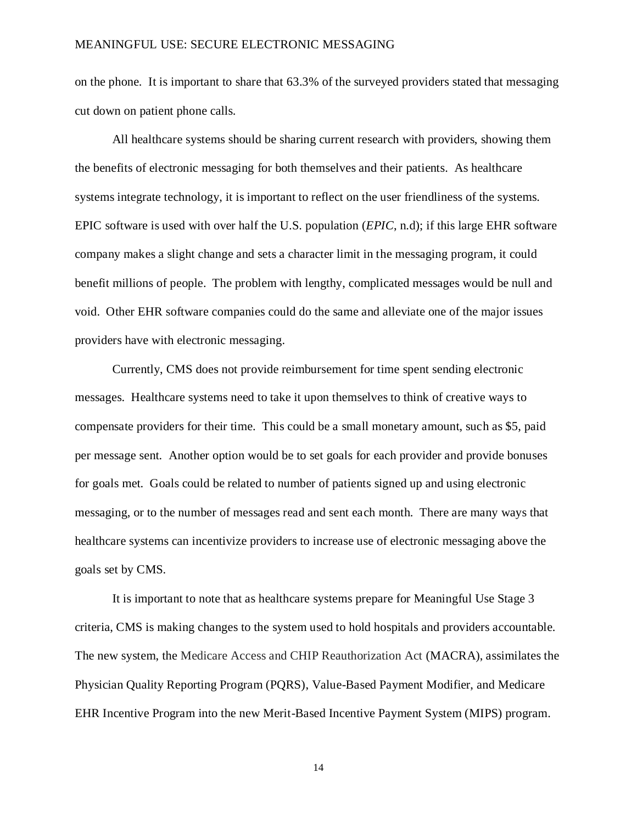on the phone. It is important to share that 63.3% of the surveyed providers stated that messaging cut down on patient phone calls.

All healthcare systems should be sharing current research with providers, showing them the benefits of electronic messaging for both themselves and their patients. As healthcare systems integrate technology, it is important to reflect on the user friendliness of the systems. EPIC software is used with over half the U.S. population (*EPIC*, n.d); if this large EHR software company makes a slight change and sets a character limit in the messaging program, it could benefit millions of people. The problem with lengthy, complicated messages would be null and void. Other EHR software companies could do the same and alleviate one of the major issues providers have with electronic messaging.

Currently, CMS does not provide reimbursement for time spent sending electronic messages. Healthcare systems need to take it upon themselves to think of creative ways to compensate providers for their time. This could be a small monetary amount, such as \$5, paid per message sent. Another option would be to set goals for each provider and provide bonuses for goals met. Goals could be related to number of patients signed up and using electronic messaging, or to the number of messages read and sent each month. There are many ways that healthcare systems can incentivize providers to increase use of electronic messaging above the goals set by CMS.

It is important to note that as healthcare systems prepare for Meaningful Use Stage 3 criteria, CMS is making changes to the system used to hold hospitals and providers accountable. The new system, the Medicare Access and CHIP Reauthorization Act (MACRA), assimilates the Physician Quality Reporting Program (PQRS), Value-Based Payment Modifier, and Medicare EHR Incentive Program into the new Merit-Based Incentive Payment System (MIPS) program.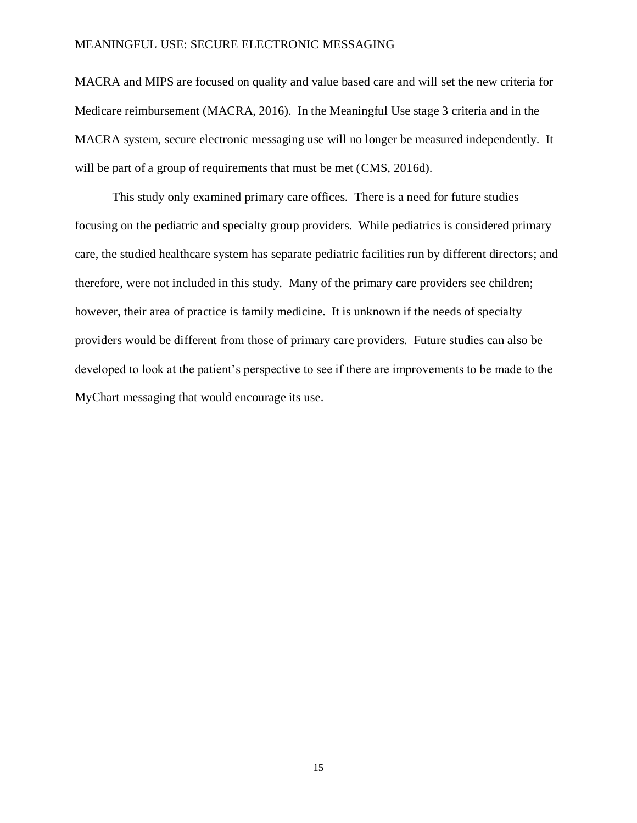MACRA and MIPS are focused on quality and value based care and will set the new criteria for Medicare reimbursement (MACRA, 2016). In the Meaningful Use stage 3 criteria and in the MACRA system, secure electronic messaging use will no longer be measured independently. It will be part of a group of requirements that must be met (CMS, 2016d).

This study only examined primary care offices. There is a need for future studies focusing on the pediatric and specialty group providers. While pediatrics is considered primary care, the studied healthcare system has separate pediatric facilities run by different directors; and therefore, were not included in this study. Many of the primary care providers see children; however, their area of practice is family medicine. It is unknown if the needs of specialty providers would be different from those of primary care providers. Future studies can also be developed to look at the patient's perspective to see if there are improvements to be made to the MyChart messaging that would encourage its use.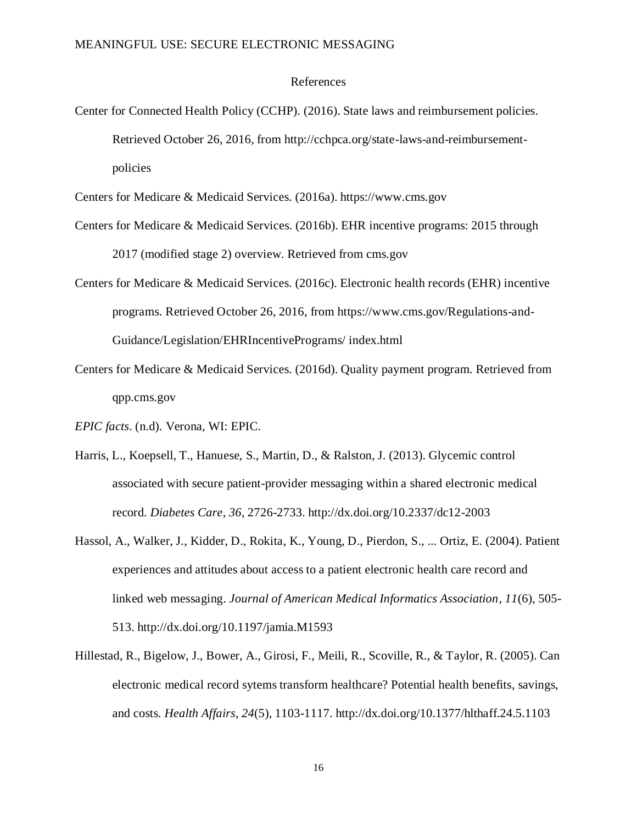#### References

Center for Connected Health Policy (CCHP). (2016). State laws and reimbursement policies. Retrieved October 26, 2016, from http://cchpca.org/state-laws-and-reimbursementpolicies

Centers for Medicare & Medicaid Services. (2016a). https://www.cms.gov

- Centers for Medicare & Medicaid Services. (2016b). EHR incentive programs: 2015 through 2017 (modified stage 2) overview. Retrieved from cms.gov
- Centers for Medicare & Medicaid Services. (2016c). Electronic health records (EHR) incentive programs. Retrieved October 26, 2016, from https://www.cms.gov/Regulations-and-Guidance/Legislation/EHRIncentivePrograms/ index.html
- Centers for Medicare & Medicaid Services. (2016d). Quality payment program. Retrieved from qpp.cms.gov
- *EPIC facts*. (n.d). Verona, WI: EPIC.
- Harris, L., Koepsell, T., Hanuese, S., Martin, D., & Ralston, J. (2013). Glycemic control associated with secure patient-provider messaging within a shared electronic medical record. *Diabetes Care*, *36*, 2726-2733. http://dx.doi.org/10.2337/dc12-2003
- Hassol, A., Walker, J., Kidder, D., Rokita, K., Young, D., Pierdon, S., ... Ortiz, E. (2004). Patient experiences and attitudes about access to a patient electronic health care record and linked web messaging. *Journal of American Medical Informatics Association*, *11*(6), 505- 513. http://dx.doi.org/10.1197/jamia.M1593
- Hillestad, R., Bigelow, J., Bower, A., Girosi, F., Meili, R., Scoville, R., & Taylor, R. (2005). Can electronic medical record sytems transform healthcare? Potential health benefits, savings, and costs. *Health Affairs*, *24*(5), 1103-1117. http://dx.doi.org/10.1377/hlthaff.24.5.1103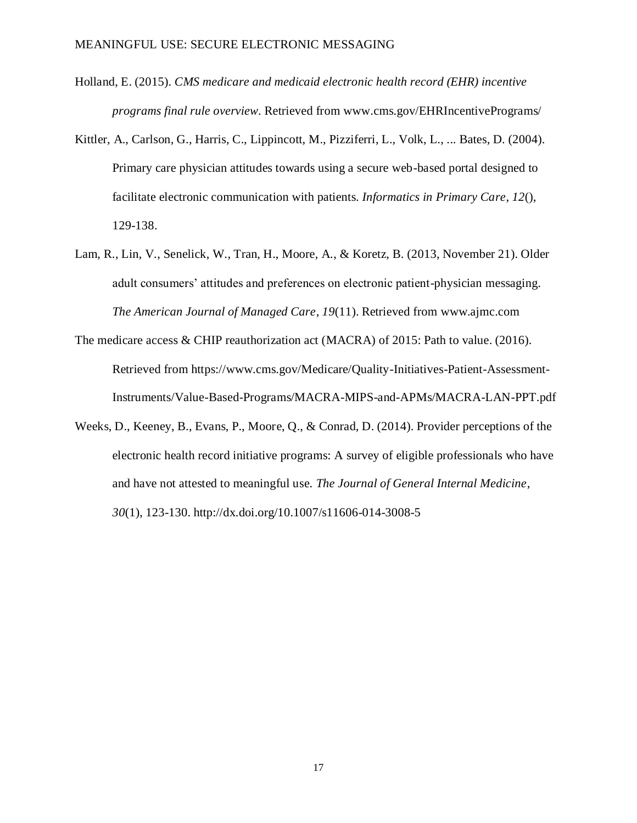- Holland, E. (2015). *CMS medicare and medicaid electronic health record (EHR) incentive programs final rule overview*. Retrieved from www.cms.gov/EHRIncentivePrograms/
- Kittler, A., Carlson, G., Harris, C., Lippincott, M., Pizziferri, L., Volk, L., ... Bates, D. (2004). Primary care physician attitudes towards using a secure web-based portal designed to facilitate electronic communication with patients. *Informatics in Primary Care*, *12*(), 129-138.
- Lam, R., Lin, V., Senelick, W., Tran, H., Moore, A., & Koretz, B. (2013, November 21). Older adult consumers' attitudes and preferences on electronic patient-physician messaging. *The American Journal of Managed Care*, *19*(11). Retrieved from www.ajmc.com
- The medicare access & CHIP reauthorization act (MACRA) of 2015: Path to value. (2016). Retrieved from https://www.cms.gov/Medicare/Quality-Initiatives-Patient-Assessment-Instruments/Value-Based-Programs/MACRA-MIPS-and-APMs/MACRA-LAN-PPT.pdf
- Weeks, D., Keeney, B., Evans, P., Moore, Q., & Conrad, D. (2014). Provider perceptions of the electronic health record initiative programs: A survey of eligible professionals who have and have not attested to meaningful use. *The Journal of General Internal Medicine*, *30*(1), 123-130. http://dx.doi.org/10.1007/s11606-014-3008-5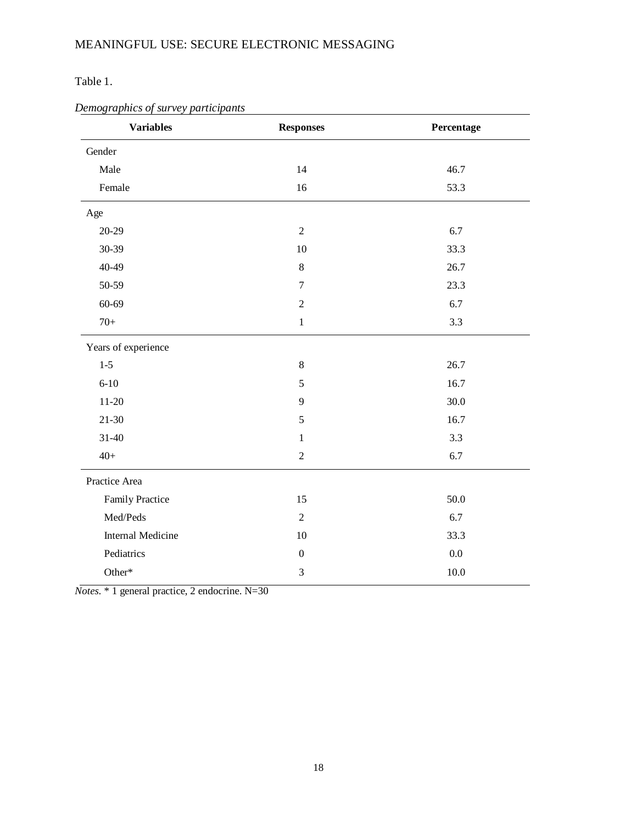Table 1.

| <b>Variables</b>         | <b>Responses</b> | Percentage |
|--------------------------|------------------|------------|
| Gender                   |                  |            |
| Male                     | 14               | 46.7       |
| Female                   | 16               | 53.3       |
| Age                      |                  |            |
| $20 - 29$                | $\sqrt{2}$       | 6.7        |
| 30-39                    | 10               | 33.3       |
| $40 - 49$                | $\,8\,$          | 26.7       |
| 50-59                    | $\boldsymbol{7}$ | 23.3       |
| 60-69                    | $\sqrt{2}$       | 6.7        |
| $70+$                    | $1\,$            | 3.3        |
| Years of experience      |                  |            |
| $1 - 5$                  | $8\,$            | 26.7       |
| $6 - 10$                 | 5                | 16.7       |
| $11 - 20$                | 9                | 30.0       |
| $21 - 30$                | 5                | 16.7       |
| $31 - 40$                | $\mathbf{1}$     | 3.3        |
| $40+$                    | $\sqrt{2}$       | 6.7        |
| Practice Area            |                  |            |
| Family Practice          | 15               | 50.0       |
| Med/Peds                 | $\sqrt{2}$       | 6.7        |
| <b>Internal Medicine</b> | 10               | 33.3       |
| Pediatrics               | $\boldsymbol{0}$ | $0.0\,$    |
| Other*                   | $\mathfrak{Z}$   | $10.0\,$   |

### *Demographics of survey participants*

*Notes.* \* 1 general practice, 2 endocrine. N=30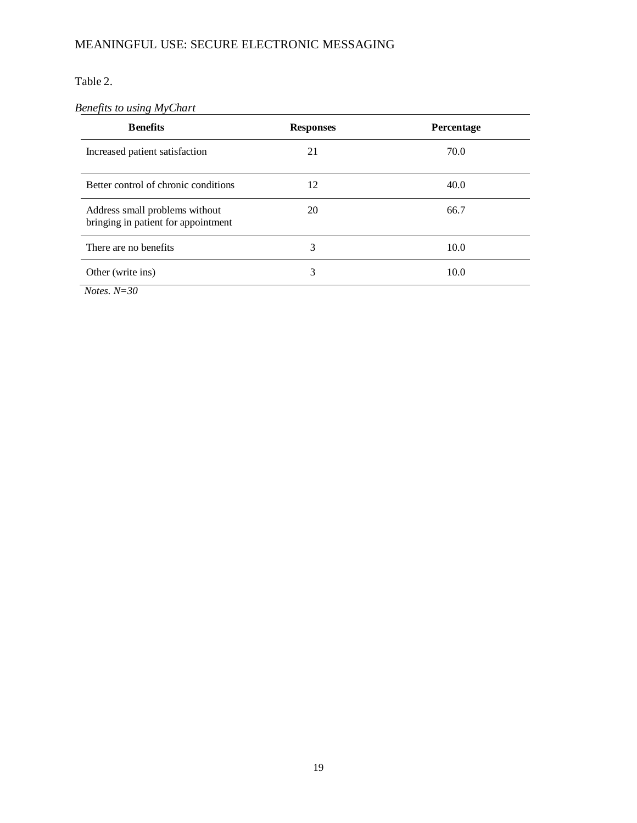Table 2.

### *Benefits to using MyChart*

| <b>Benefits</b>                                                       | <b>Responses</b> | Percentage |
|-----------------------------------------------------------------------|------------------|------------|
| Increased patient satisfaction                                        | 21               | 70.0       |
| Better control of chronic conditions                                  | 12               | 40.0       |
| Address small problems without<br>bringing in patient for appointment | 20               | 66.7       |
| There are no benefits                                                 | 3                | 10.0       |
| Other (write ins)                                                     | 3                | 10.0       |

*Notes. N=30*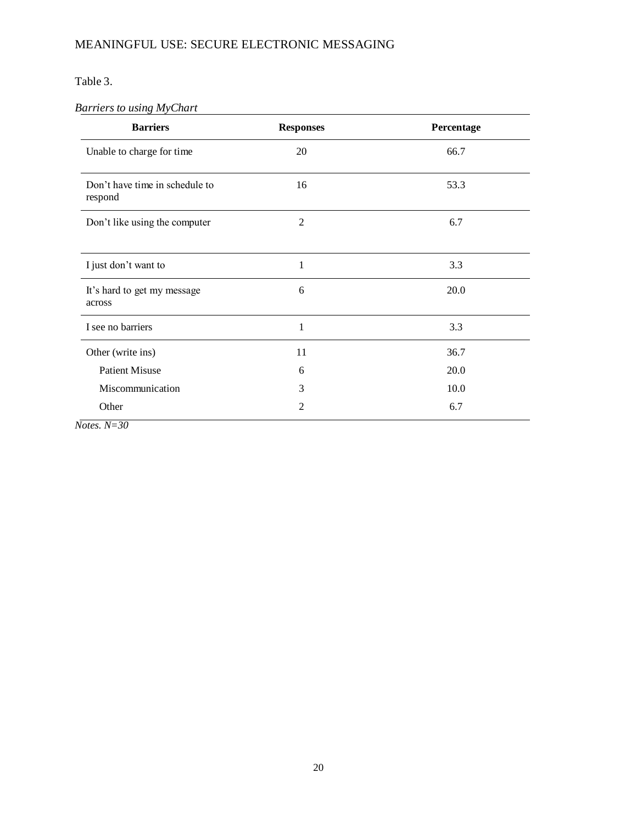Table 3.

### *Barriers to using MyChart*

| <b>Barriers</b>                           | <b>Responses</b> | Percentage |
|-------------------------------------------|------------------|------------|
| Unable to charge for time                 | 20               | 66.7       |
| Don't have time in schedule to<br>respond | 16               | 53.3       |
| Don't like using the computer             | $\overline{2}$   | 6.7        |
| I just don't want to                      | 1                | 3.3        |
| It's hard to get my message<br>across     | 6                | 20.0       |
| I see no barriers                         | 1                | 3.3        |
| Other (write ins)                         | 11               | 36.7       |
| <b>Patient Misuse</b>                     | 6                | 20.0       |
| Miscommunication                          | 3                | 10.0       |
| Other                                     | $\overline{2}$   | 6.7        |

*Notes. N=30*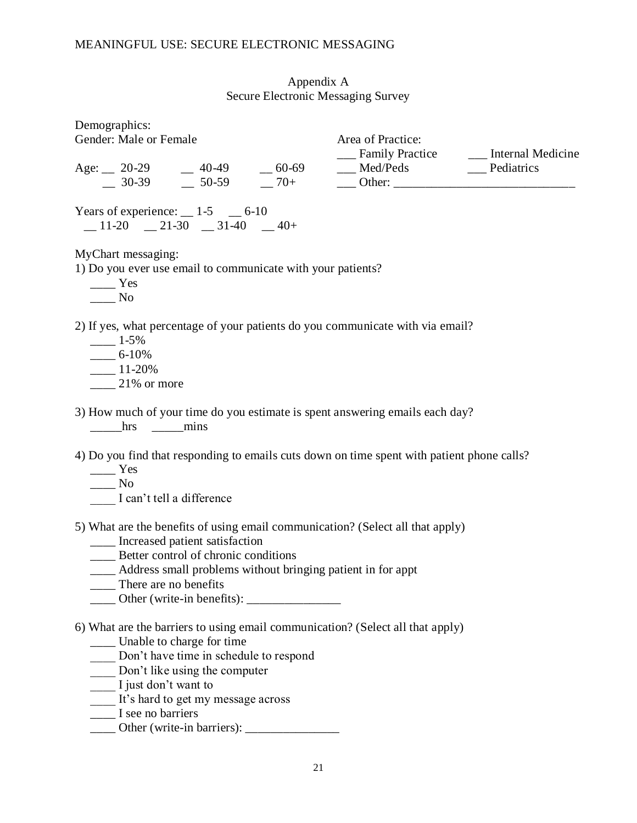### Appendix A Secure Electronic Messaging Survey

<span id="page-26-0"></span>

| Demographics:<br>Gender: Male or Female                                                                                                                                                                                                                                                      | Area of Practice:                          |  |
|----------------------------------------------------------------------------------------------------------------------------------------------------------------------------------------------------------------------------------------------------------------------------------------------|--------------------------------------------|--|
|                                                                                                                                                                                                                                                                                              | __ Family Practice _____ Internal Medicine |  |
| Years of experience: $\_\_$ 1-5 $\_\_$ 6-10<br>$-11-20$ $-21-30$ $-31-40$ $-40+$                                                                                                                                                                                                             |                                            |  |
| MyChart messaging:<br>1) Do you ever use email to communicate with your patients?<br>$\frac{1}{1}$ Yes<br>$\_\_$ No                                                                                                                                                                          |                                            |  |
| 2) If yes, what percentage of your patients do you communicate with via email?<br>$- 1 - 5\%$<br>$-6-10\%$<br>$-11-20%$<br>$\frac{21\%}{21\%}$ or more                                                                                                                                       |                                            |  |
| 3) How much of your time do you estimate is spent answering emails each day?<br>hrs mins                                                                                                                                                                                                     |                                            |  |
| 4) Do you find that responding to emails cuts down on time spent with patient phone calls?<br>$\frac{1}{1}$ Yes<br>$\frac{1}{1}$ No<br>I can't tell a difference                                                                                                                             |                                            |  |
| 5) What are the benefits of using email communication? (Select all that apply)<br>____ Increased patient satisfaction<br>____ Better control of chronic conditions<br>____ Address small problems without bringing patient in for appt<br>There are no benefits                              |                                            |  |
| 6) What are the barriers to using email communication? (Select all that apply)<br>___ Unable to charge for time<br>Don't have time in schedule to respond<br>Don't like using the computer<br>I just don't want to<br>It's hard to get my message across<br>$\blacksquare$ I see no barriers |                                            |  |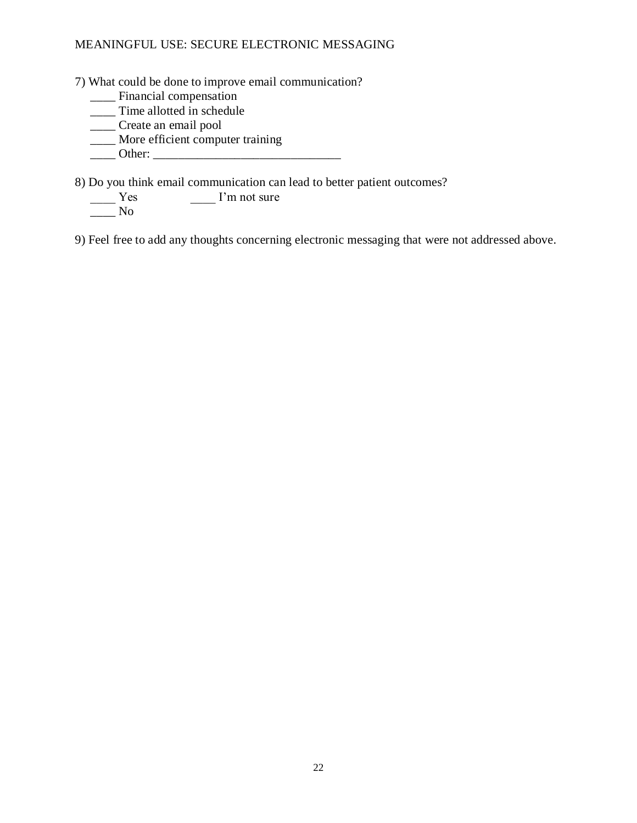7) What could be done to improve email communication?

- \_\_\_\_ Financial compensation
- \_\_\_\_\_ Time allotted in schedule
- \_\_\_\_ Create an email pool
- \_\_\_\_ More efficient computer training
- \_\_\_\_ Other: \_\_\_\_\_\_\_\_\_\_\_\_\_\_\_\_\_\_\_\_\_\_\_\_\_\_\_\_\_\_

8) Do you think email communication can lead to better patient outcomes?<br>
<u>Nesenally</u> I'm not sure

 $\Box$  I'm not sure

 $\frac{1}{\sqrt{1-\frac{1}{n}}}$  No

9) Feel free to add any thoughts concerning electronic messaging that were not addressed above.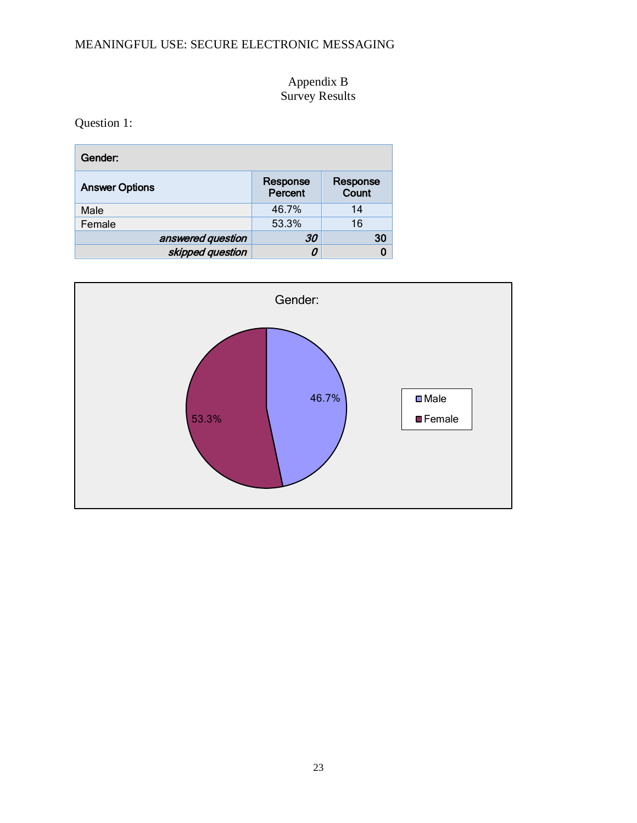### Appendix B Survey Results

<span id="page-28-0"></span>Question 1:

| Gender:               |                     |                   |  |
|-----------------------|---------------------|-------------------|--|
| <b>Answer Options</b> | Response<br>Percent | Response<br>Count |  |
| Male                  | 46.7%               | 14                |  |
| Female                | 53.3%               | 16                |  |
| answered question     | 30                  | 30                |  |
| skipped question      | 0                   |                   |  |

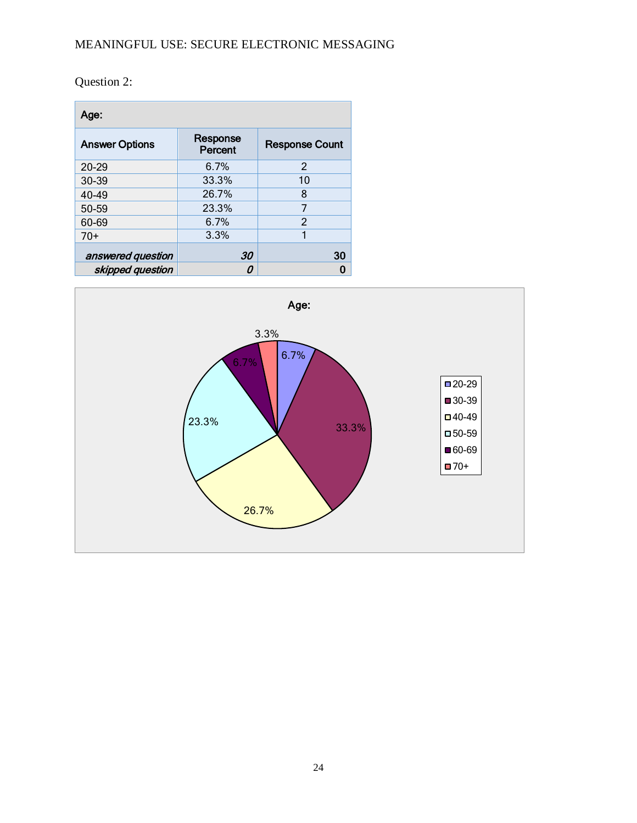Question 2:

| Age:                  |                     |                       |  |
|-----------------------|---------------------|-----------------------|--|
| <b>Answer Options</b> | Response<br>Percent | <b>Response Count</b> |  |
| 20-29                 | 6.7%                | 2                     |  |
| 30-39                 | 33.3%               | 10                    |  |
| 40-49                 | 26.7%               | 8                     |  |
| 50-59                 | 23.3%               | 7                     |  |
| 60-69                 | 6.7%                | 2                     |  |
| $70+$                 | 3.3%                | 1                     |  |
| answered question     | 30                  | 30                    |  |
| skipped question      |                     |                       |  |

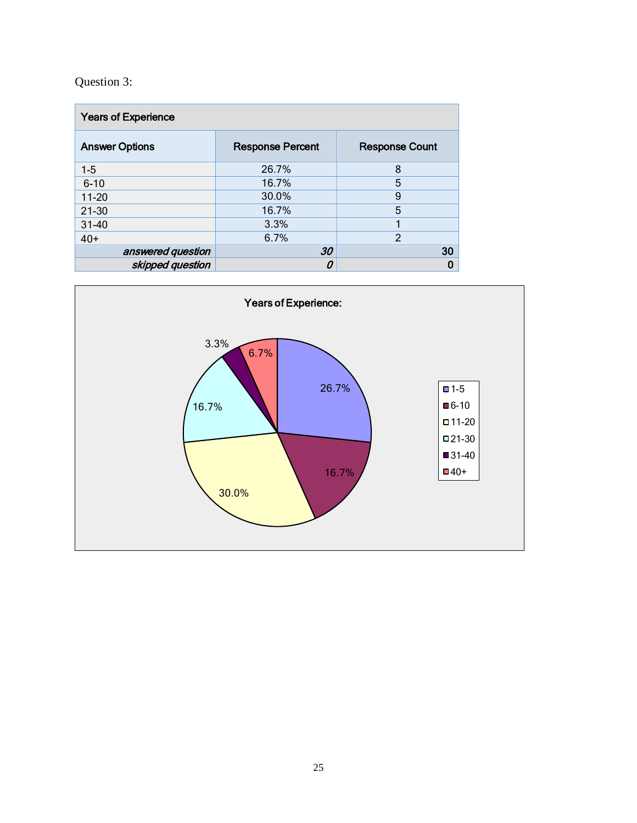# Question 3:

| <b>Years of Experience</b> |                         |                       |  |
|----------------------------|-------------------------|-----------------------|--|
| <b>Answer Options</b>      | <b>Response Percent</b> | <b>Response Count</b> |  |
| $1 - 5$                    | 26.7%                   | 8                     |  |
| $6 - 10$                   | 16.7%                   | 5                     |  |
| $11 - 20$                  | 30.0%                   | 9                     |  |
| $21 - 30$                  | 16.7%                   | 5                     |  |
| $31 - 40$                  | 3.3%                    |                       |  |
| $40+$                      | 6.7%                    | $\mathfrak{p}$        |  |
| answered question          | 30                      | 30                    |  |
| skipped question           |                         |                       |  |

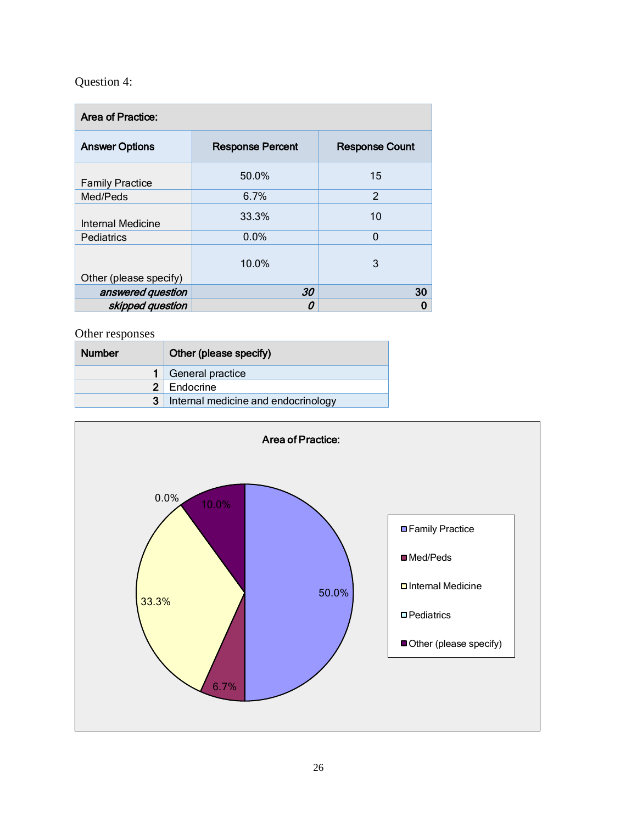# Question 4:

| Area of Practice:      |                         |                       |  |
|------------------------|-------------------------|-----------------------|--|
| <b>Answer Options</b>  | <b>Response Percent</b> | <b>Response Count</b> |  |
| <b>Family Practice</b> | 50.0%                   | 15                    |  |
| Med/Peds               | 6.7%                    | $\mathfrak{p}$        |  |
| Internal Medicine      | 33.3%                   | 10                    |  |
| Pediatrics             | 0.0%                    | 0                     |  |
| Other (please specify) | 10.0%                   | 3                     |  |
| answered question      | 30                      | 30                    |  |
| skipped question       | Ω                       | O                     |  |

| <b>Number</b>  | Other (please specify)              |
|----------------|-------------------------------------|
|                | General practice                    |
| 2 <sup>1</sup> | Endocrine                           |
|                | Internal medicine and endocrinology |

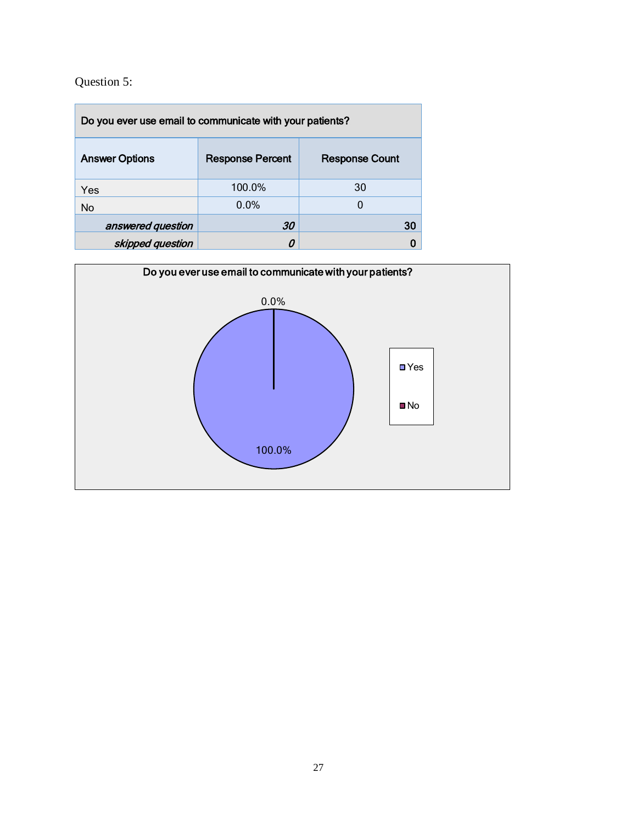# Question 5:

| Do you ever use email to communicate with your patients? |                         |                       |  |
|----------------------------------------------------------|-------------------------|-----------------------|--|
| <b>Answer Options</b>                                    | <b>Response Percent</b> | <b>Response Count</b> |  |
| Yes                                                      | 100.0%                  | 30                    |  |
| No                                                       | 0.0%                    |                       |  |
| answered question                                        | 30                      | 30                    |  |
| skipped question                                         |                         |                       |  |

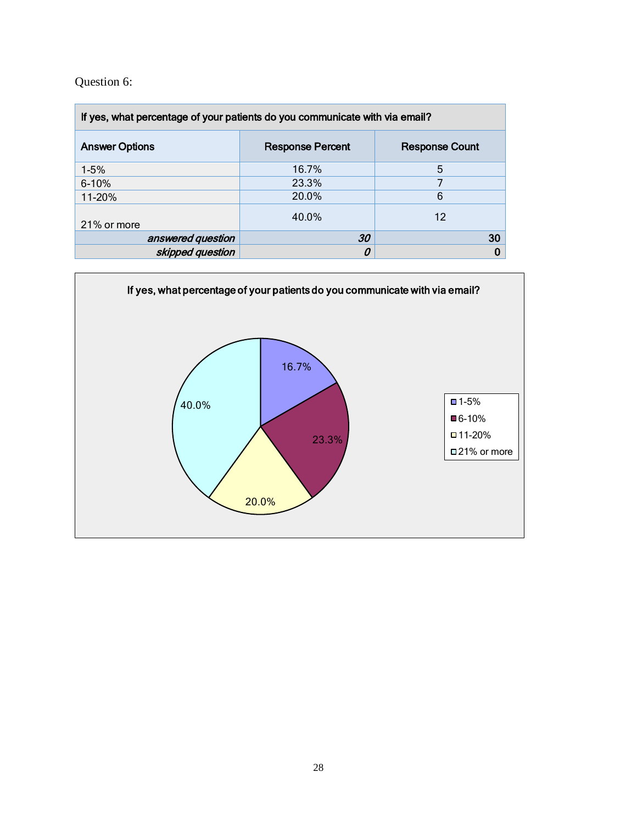Question 6:

| If yes, what percentage of your patients do you communicate with via email? |       |                       |
|-----------------------------------------------------------------------------|-------|-----------------------|
| <b>Response Percent</b><br><b>Answer Options</b>                            |       | <b>Response Count</b> |
| $1-5%$                                                                      | 16.7% | 5                     |
| $6 - 10%$                                                                   | 23.3% | 7                     |
| 11-20%                                                                      | 20.0% | 6                     |
| 21% or more                                                                 | 40.0% | 12                    |
| answered question                                                           | 30    | 30                    |
| skipped question                                                            | 0     | 0                     |

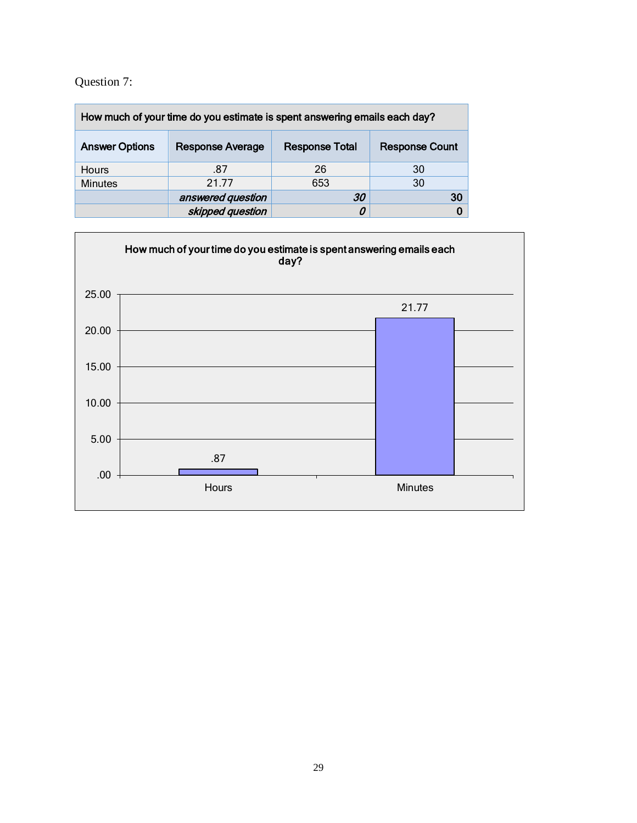### Question 7:

| How much of your time do you estimate is spent answering emails each day? |                         |                       |                       |
|---------------------------------------------------------------------------|-------------------------|-----------------------|-----------------------|
| <b>Answer Options</b>                                                     | <b>Response Average</b> | <b>Response Total</b> | <b>Response Count</b> |
| <b>Hours</b>                                                              | .87                     | 26                    | 30                    |
| <b>Minutes</b>                                                            | 21 77                   | 653                   | 30                    |
|                                                                           | answered question       | 30                    | 30                    |
|                                                                           | skipped question        | 0                     |                       |

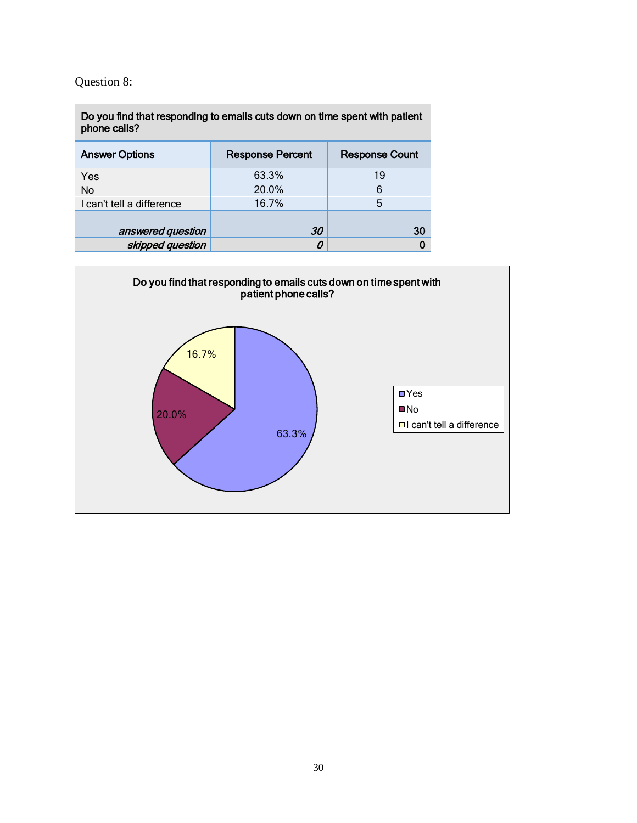# Question 8:

| Do you find that responding to emails cuts down on time spent with patient<br>phone calls? |       |    |  |
|--------------------------------------------------------------------------------------------|-------|----|--|
| <b>Answer Options</b><br><b>Response Percent</b><br><b>Response Count</b>                  |       |    |  |
| Yes                                                                                        | 63.3% | 19 |  |
| No                                                                                         | 20.0% | 6  |  |
| I can't tell a difference                                                                  | 16.7% | 5  |  |
| answered question                                                                          | 30    | 30 |  |
| skipped question                                                                           |       |    |  |

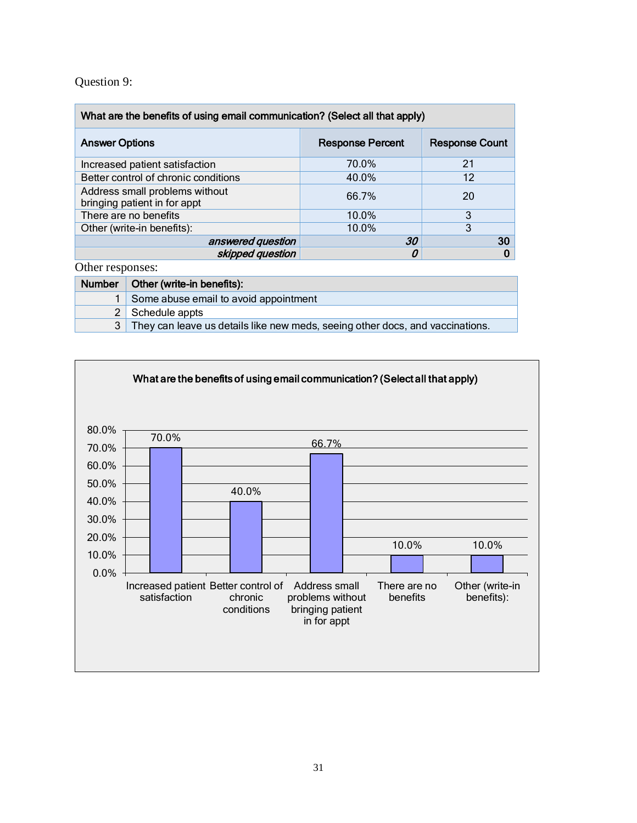### Question 9:

| What are the benefits of using email communication? (Select all that apply) |                         |                       |
|-----------------------------------------------------------------------------|-------------------------|-----------------------|
| <b>Answer Options</b>                                                       | <b>Response Percent</b> | <b>Response Count</b> |
| Increased patient satisfaction                                              | 70.0%                   | 21                    |
| Better control of chronic conditions                                        | 40.0%                   | 12                    |
| Address small problems without<br>bringing patient in for appt              | 66.7%                   | 20                    |
| There are no benefits                                                       | 10.0%                   | 3                     |
| Other (write-in benefits):                                                  | 10.0%                   | 3                     |
| answered question                                                           | 30                      | 30                    |
| skipped question                                                            |                         | 0                     |

| Number   Other (write-in benefits):                                             |
|---------------------------------------------------------------------------------|
| Some abuse email to avoid appointment                                           |
| 2 Schedule appts                                                                |
| 3 They can leave us details like new meds, seeing other docs, and vaccinations. |

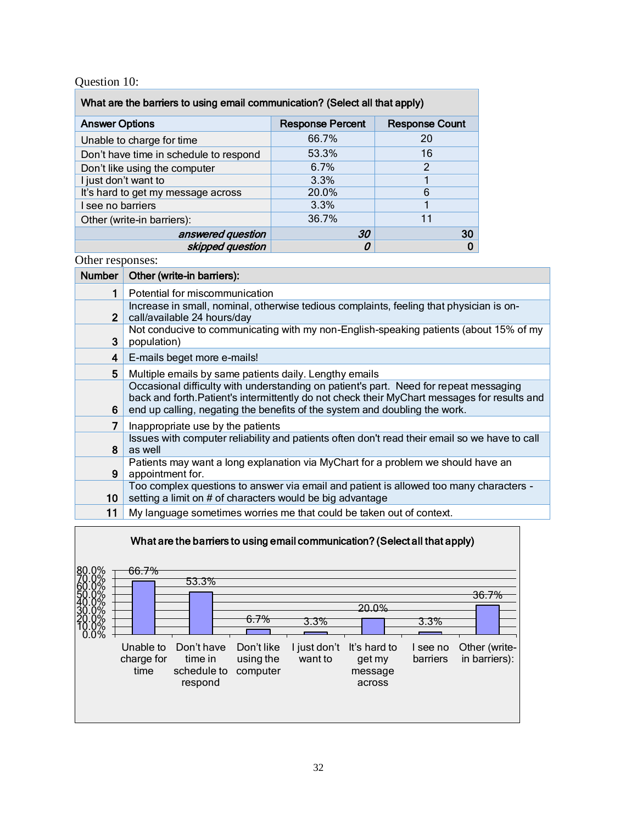### Question 10:

| What are the barriers to using email communication? (Select all that apply) |                         |                       |
|-----------------------------------------------------------------------------|-------------------------|-----------------------|
| <b>Answer Options</b>                                                       | <b>Response Percent</b> | <b>Response Count</b> |
| Unable to charge for time                                                   | 66.7%                   | 20                    |
| Don't have time in schedule to respond                                      | 53.3%                   | 16                    |
| Don't like using the computer                                               | 6.7%                    | 2                     |
| I just don't want to                                                        | 3.3%                    |                       |
| It's hard to get my message across                                          | 20.0%                   | 6                     |
| I see no barriers                                                           | 3.3%                    |                       |
| Other (write-in barriers):                                                  | 36.7%                   | 11                    |
| answered question                                                           | 30                      | 30                    |
| skipped question                                                            | 0                       |                       |

| <b>Number</b> | Other (write-in barriers):                                                                                                                                                                                                                                          |
|---------------|---------------------------------------------------------------------------------------------------------------------------------------------------------------------------------------------------------------------------------------------------------------------|
| 1             | Potential for miscommunication                                                                                                                                                                                                                                      |
| $\mathbf{2}$  | Increase in small, nominal, otherwise tedious complaints, feeling that physician is on-<br>call/available 24 hours/day                                                                                                                                              |
| 3             | Not conducive to communicating with my non-English-speaking patients (about 15% of my<br>population)                                                                                                                                                                |
| 4             | E-mails beget more e-mails!                                                                                                                                                                                                                                         |
| 5             | Multiple emails by same patients daily. Lengthy emails                                                                                                                                                                                                              |
| 6             | Occasional difficulty with understanding on patient's part. Need for repeat messaging<br>back and forth. Patient's intermittently do not check their MyChart messages for results and<br>end up calling, negating the benefits of the system and doubling the work. |
| 7             | Inappropriate use by the patients                                                                                                                                                                                                                                   |
| 8             | Issues with computer reliability and patients often don't read their email so we have to call<br>as well                                                                                                                                                            |
| 9             | Patients may want a long explanation via MyChart for a problem we should have an<br>appointment for.                                                                                                                                                                |
| 10            | Too complex questions to answer via email and patient is allowed too many characters -<br>setting a limit on # of characters would be big advantage                                                                                                                 |
| 11            | My language sometimes worries me that could be taken out of context.                                                                                                                                                                                                |

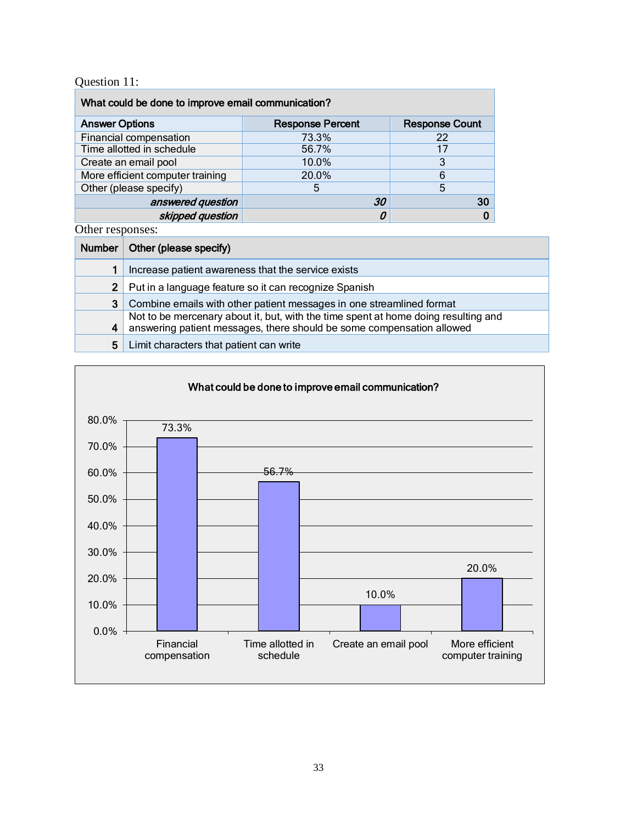### Question 11:

| What could be done to improve email communication? |                         |                       |
|----------------------------------------------------|-------------------------|-----------------------|
| <b>Answer Options</b>                              | <b>Response Percent</b> | <b>Response Count</b> |
| Financial compensation                             | 73.3%                   | 22                    |
| Time allotted in schedule                          | 56.7%                   | 17                    |
| Create an email pool                               | 10.0%                   |                       |
| More efficient computer training                   | 20.0%                   | 6                     |
| Other (please specify)                             | 5                       | 5                     |
| answered question                                  | 30                      | 30                    |
| skipped question                                   | 0                       |                       |

| Number         | Other (please specify)                                                                                                                                      |
|----------------|-------------------------------------------------------------------------------------------------------------------------------------------------------------|
|                | Increase patient awareness that the service exists                                                                                                          |
| $\overline{2}$ | Put in a language feature so it can recognize Spanish                                                                                                       |
| 3              | Combine emails with other patient messages in one streamlined format                                                                                        |
| 4              | Not to be mercenary about it, but, with the time spent at home doing resulting and<br>answering patient messages, there should be some compensation allowed |
| 5              | Limit characters that patient can write                                                                                                                     |

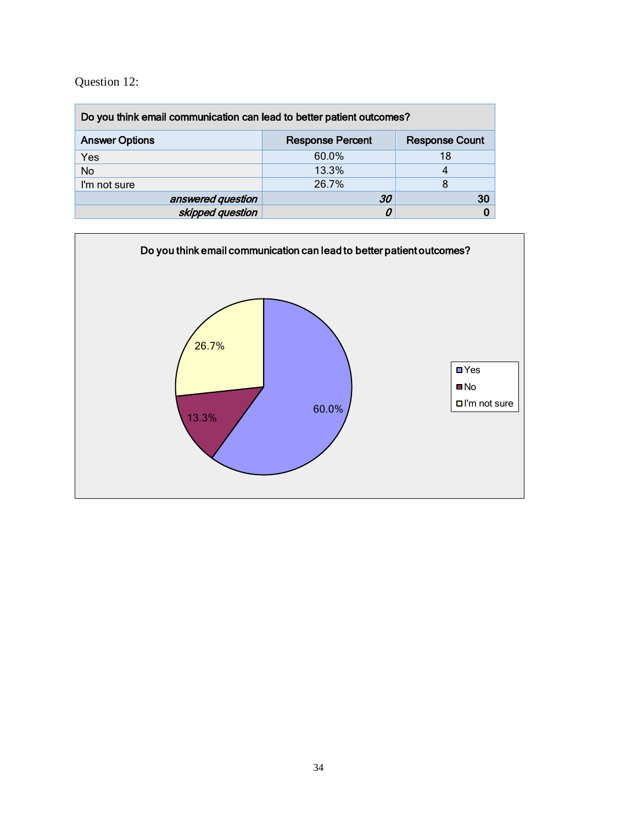### Question 12:

| Do you think email communication can lead to better patient outcomes?     |       |    |
|---------------------------------------------------------------------------|-------|----|
| <b>Answer Options</b><br><b>Response Count</b><br><b>Response Percent</b> |       |    |
| Yes                                                                       | 60.0% | 18 |
| <b>No</b>                                                                 | 13.3% |    |
| I'm not sure                                                              | 26.7% |    |
| answered question                                                         | 30    | 30 |
| skipped question                                                          |       |    |